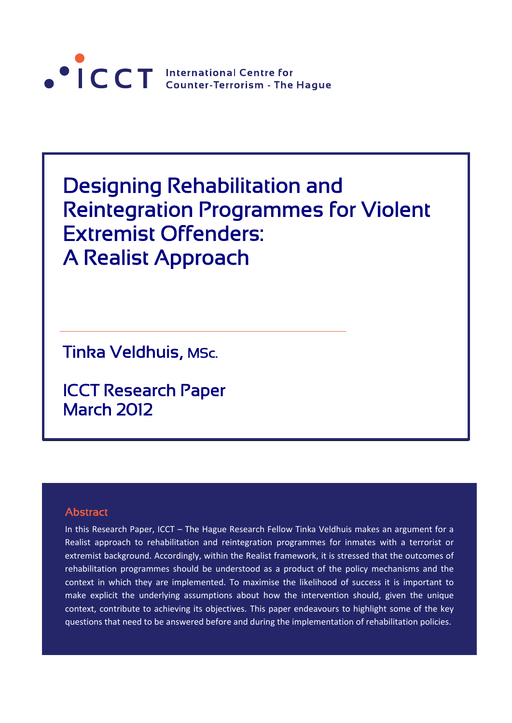

Designing Rehabilitation and Reintegration Programmes for Violent Extremist Offenders: A Realist Approach

Tinka Veldhuis, MSc.

ICCT Research Paper March 2012

# **Abstract**

 $\overline{a}$ 

In this Research Paper, ICCT – The Hague Research Fellow Tinka Veldhuis makes an argument for a Realist approach to rehabilitation and reintegration programmes for inmates with a terrorist or extremist background. Accordingly, within the Realist framework, it is stressed that the outcomes of rehabilitation programmes should be understood as a product of the policy mechanisms and the context in which they are implemented. To maximise the likelihood of success it is important to make explicit the underlying assumptions about how the intervention should, given the unique context, contribute to achieving its objectives. This paper endeavours to highlight some of the key questions that need to be answered before and during the implementation of rehabilitation policies.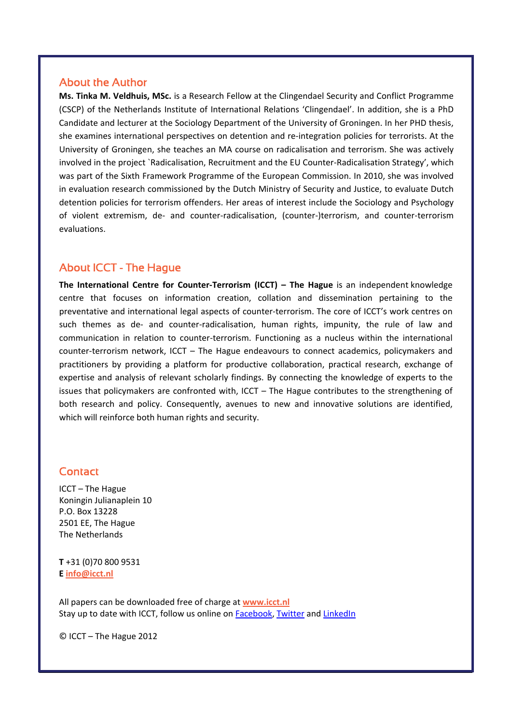# **About the Author**

**Ms. Tinka M. Veldhuis, MSc.** is a Research Fellow at the Clingendael Security and Conflict Programme (CSCP) of the Netherlands Institute of International Relations 'Clingendael'. In addition, she is a PhD Candidate and lecturer at the Sociology Department of the University of Groningen. In her PHD thesis, she examines international perspectives on detention and re-integration policies for terrorists. At the University of Groningen, she teaches an MA course on radicalisation and terrorism. She was actively involved in the project `Radicalisation, Recruitment and the EU Counter-Radicalisation Strategy', which was part of the Sixth Framework Programme of the European Commission. In 2010, she was involved in evaluation research commissioned by the Dutch Ministry of Security and Justice, to evaluate Dutch detention policies for terrorism offenders. Her areas of interest include the Sociology and Psychology of violent extremism, de‐ and counter‐radicalisation, (counter‐)terrorism, and counter‐terrorism evaluations.

# About ICCT - The Hague

**The International Centre for Counter‐Terrorism (ICCT) – The Hague** is an independent knowledge centre that focuses on information creation, collation and dissemination pertaining to the preventative and international legal aspects of counter‐terrorism. The core of ICCT's work centres on such themes as de‐ and counter‐radicalisation, human rights, impunity, the rule of law and communication in relation to counter‐terrorism. Functioning as a nucleus within the international counter‐terrorism network, ICCT – The Hague endeavours to connect academics, policymakers and practitioners by providing a platform for productive collaboration, practical research, exchange of expertise and analysis of relevant scholarly findings. By connecting the knowledge of experts to the issues that policymakers are confronted with, ICCT – The Hague contributes to the strengthening of both research and policy. Consequently, avenues to new and innovative solutions are identified, which will reinforce both human rights and security.

# **Contact**

ICCT – The Hague Koningin Julianaplein 10 P.O. Box 13228 2501 EE, The Hague The Netherlands

**T** +31 (0)70 800 9531 **E [info@icct.nl](mailto:info@icct.nl)**

All papers can be downloaded free of charge at **[www.icct.nl](http://www.icct.nl/)** Stay up to date with ICCT, follow us online on **Facebook**, [Twitter](https://twitter.com/ICCT_TheHague) and [LinkedIn](http://www.linkedin.com/groups/International-Centre-CounterTerrorism-Hague-4125332?trk=myg_ugrp_ovr)

© ICCT – The Hague 2012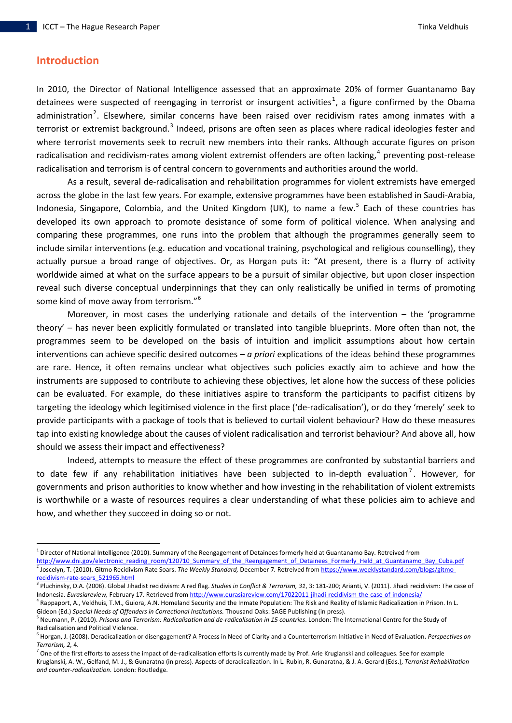## **Introduction**

l

In 2010, the Director of National Intelligence assessed that an approximate 20% of former Guantanamo Bay detainees were suspected of reengaging in terrorist or insurgent activities<sup>[1](#page-2-0)</sup>, a figure confirmed by the Obama administration<sup>[2](#page-2-1)</sup>. Elsewhere, similar concerns have been raised over recidivism rates among inmates with a terrorist or extremist background.<sup>[3](#page-2-2)</sup> Indeed, prisons are often seen as places where radical ideologies fester and where terrorist movements seek to recruit new members into their ranks. Although accurate figures on prison radicalisation and recidivism-rates among violent extremist offenders are often lacking,<sup>[4](#page-2-3)</sup> preventing post-release radicalisation and terrorism is of central concern to governments and authorities around the world.

As a result, several de‐radicalisation and rehabilitation programmes for violent extremists have emerged across the globe in the last few years. For example, extensive programmes have been established in Saudi‐Arabia, Indonesia, Singapore, Colombia, and the United Kingdom (UK), to name a few.<sup>[5](#page-2-4)</sup> Each of these countries has developed its own approach to promote desistance of some form of political violence. When analysing and comparing these programmes, one runs into the problem that although the programmes generally seem to include similar interventions (e.g. education and vocational training, psychological and religious counselling), they actually pursue a broad range of objectives. Or, as Horgan puts it: "At present, there is a flurry of activity worldwide aimed at what on the surface appears to be a pursuit of similar objective, but upon closer inspection reveal such diverse conceptual underpinnings that they can only realistically be unified in terms of promoting some kind of move away from terrorism."[6](#page-2-5)

Moreover, in most cases the underlying rationale and details of the intervention – the 'programme theory' – has never been explicitly formulated or translated into tangible blueprints. More often than not, the programmes seem to be developed on the basis of intuition and implicit assumptions about how certain interventions can achieve specific desired outcomes – *a priori* explications of the ideas behind these programmes are rare. Hence, it often remains unclear what objectives such policies exactly aim to achieve and how the instruments are supposed to contribute to achieving these objectives, let alone how the success of these policies can be evaluated. For example, do these initiatives aspire to transform the participants to pacifist citizens by targeting the ideology which legitimised violence in the first place ('de‐radicalisation'), or do they 'merely' seek to provide participants with a package of tools that is believed to curtail violent behaviour? How do these measures tap into existing knowledge about the causes of violent radicalisation and terrorist behaviour? And above all, how should we assess their impact and effectiveness?

Indeed, attempts to measure the effect of these programmes are confronted by substantial barriers and to date few if any rehabilitation initiatives have been subjected to in-depth evaluation<sup>[7](#page-2-6)</sup>. However, for governments and prison authorities to know whether and how investing in the rehabilitation of violent extremists is worthwhile or a waste of resources requires a clear understanding of what these policies aim to achieve and how, and whether they succeed in doing so or not.

<span id="page-2-3"></span><sup>1</sup> Rappaport, A., Veldhuis, T.M., Guiora, A.N. Homeland Security and the Inmate Population: The Risk and Reality of Islamic Radicalization in Prison. In L. Gideon (Ed.) Special Needs of Offenders in Correctional Institutions. Thousand Oaks: SAGE Publishing (in press).<br><sup>5</sup> Neumann, P. (2010). Prisons and Terrorism: Radicalisation and de-radicalisation in 15 countries. London:

<span id="page-2-0"></span><sup>1</sup> Director of National Intelligence (2010). Summary of the Reengagement of Detainees formerly held at Guantanamo Bay. Retreived from

<span id="page-2-1"></span>[http://www.dni.gov/electronic\\_reading\\_room/120710\\_Summary\\_of\\_the\\_Reengagement\\_of\\_Detainees\\_Formerly\\_Held\\_at\\_Guantanamo\\_Bay\\_Cuba.pdf](http://www.dni.gov/electronic_reading_room/120710_Summary_of_the_Reengagement_of_Detainees_Formerly_Held_at_Guantanamo_Bay_Cuba.pdf) <sup>2</sup> Joscelyn, T. (2010). Gitmo Recidivism Rate Soars. *The Weekly Standard,* December 7*.* Retreived from [https://www.weeklystandard.com/blogs/gitmo](https://www.weeklystandard.com/blogs/gitmo-recidivism-rate-soars_521965.html)‐ recidivism-rate-soars 521965.html<br><sup>3</sup> Pluchinsky, D.A. (2008). Global Jihadist recidivism: A red flag. Studies in Conflict & Terrorism, 31, 3: 181-200; Arianti, V. (2011). Jihadi recidivism: The case of

<span id="page-2-2"></span>Indonesia. *Eurasiareview,* February 17. Retrieved from [http://www.eurasiareview.com/17022011](http://www.eurasiareview.com/17022011-jihadi-recidivism-the-case-of-indonesia/)‐jihadi‐recidivism‐the‐case‐of‐indonesia/

<span id="page-2-4"></span>Radicalisation and Political Violence.

<span id="page-2-5"></span><sup>6</sup> Horgan, J. (2008). Deradicalization or disengagement? A Process in Need of Clarity and a Counterterrorism Initiative in Need of Evaluation**.** *Perspectives on Terrorism, 2, 4.*<br><sup>7</sup> One of the first efforts to assess the impact of de-radicalisation efforts is currently made by Prof. Arie Kruglanski and colleagues. See for example

<span id="page-2-6"></span>Kruglanski, A. W., Gelfand, M. J., & Gunaratna (in press). Aspects of deradicalization. In L. Rubin, R. Gunaratna, & J. A. Gerard (Eds.), *Terrorist Rehabilitation and counter‐radicalization*. London: Routledge.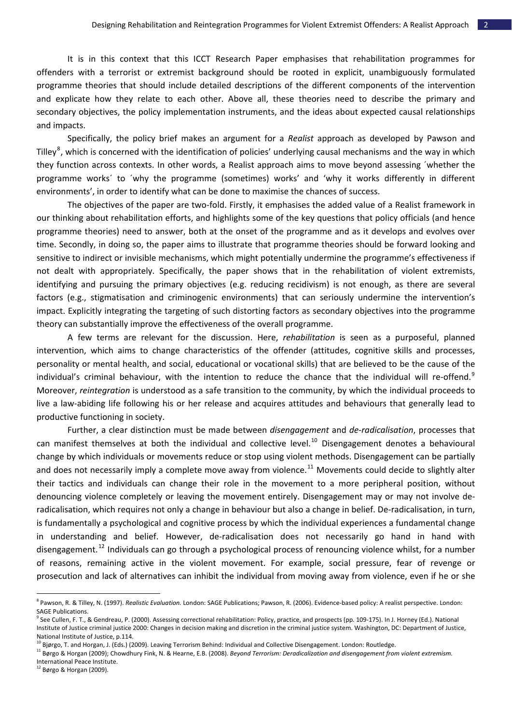It is in this context that this ICCT Research Paper emphasises that rehabilitation programmes for offenders with a terrorist or extremist background should be rooted in explicit, unambiguously formulated programme theories that should include detailed descriptions of the different components of the intervention and explicate how they relate to each other. Above all, these theories need to describe the primary and secondary objectives, the policy implementation instruments, and the ideas about expected causal relationships and impacts.

Specifically, the policy brief makes an argument for a *Realist* approach as developed by Pawson and Tilley<sup>[8](#page-3-0)</sup>, which is concerned with the identification of policies' underlying causal mechanisms and the way in which they function across contexts. In other words, a Realist approach aims to move beyond assessing ´whether the programme works´ to ´why the programme (sometimes) works' and 'why it works differently in different environments', in order to identify what can be done to maximise the chances of success.

The objectives of the paper are two‐fold. Firstly, it emphasises the added value of a Realist framework in our thinking about rehabilitation efforts, and highlights some of the key questions that policy officials (and hence programme theories) need to answer, both at the onset of the programme and as it develops and evolves over time. Secondly, in doing so, the paper aims to illustrate that programme theories should be forward looking and sensitive to indirect or invisible mechanisms, which might potentially undermine the programme's effectiveness if not dealt with appropriately. Specifically, the paper shows that in the rehabilitation of violent extremists, identifying and pursuing the primary objectives (e.g. reducing recidivism) is not enough, as there are several factors (e.g., stigmatisation and criminogenic environments) that can seriously undermine the intervention's impact. Explicitly integrating the targeting of such distorting factors as secondary objectives into the programme theory can substantially improve the effectiveness of the overall programme.

A few terms are relevant for the discussion. Here, *rehabilitation* is seen as a purposeful, planned intervention, which aims to change characteristics of the offender (attitudes, cognitive skills and processes, personality or mental health, and social, educational or vocational skills) that are believed to be the cause of the individual's criminal behaviour, with the intention to reduce the chance that the individual will re-offend.<sup>[9](#page-3-1)</sup> Moreover, *reintegration* is understood as a safe transition to the community, by which the individual proceeds to live a law‐abiding life following his or her release and acquires attitudes and behaviours that generally lead to productive functioning in society.

Further, a clear distinction must be made between *disengagement* and *de‐radicalisation*, processes that can manifest themselves at both the individual and collective level.<sup>[10](#page-3-2)</sup> Disengagement denotes a behavioural change by which individuals or movements reduce or stop using violent methods. Disengagement can be partially and does not necessarily imply a complete move away from violence.<sup>[11](#page-3-3)</sup> Movements could decide to slightly alter their tactics and individuals can change their role in the movement to a more peripheral position, without denouncing violence completely or leaving the movement entirely. Disengagement may or may not involve de‐ radicalisation, which requires not only a change in behaviour but also a change in belief. De‐radicalisation, in turn, is fundamentally a psychological and cognitive process by which the individual experiences a fundamental change in understanding and belief. However, de-radicalisation does not necessarily go hand in hand with disengagement.<sup>[12](#page-3-4)</sup> Individuals can go through a psychological process of renouncing violence whilst, for a number of reasons, remaining active in the violent movement. For example, social pressure, fear of revenge or prosecution and lack of alternatives can inhibit the individual from moving away from violence, even if he or she

<span id="page-3-0"></span><sup>8</sup> Pawson, R. & Tilley, N. (1997). *Realistic Evaluation.* London: SAGE Publications; Pawson, R. (2006). Evidence‐based policy: A realist perspective. London: SAGE Publications.<br><sup>9</sup> See Cullen, F. T., & Gendreau, P. (2000). Assessing correctional rehabilitation: Policy, practice, and prospects (pp. 109-175). In J. Horney (Ed.). National

<span id="page-3-1"></span>Institute of Justice criminal justice 2000: Changes in decision making and discretion in the criminal justice system. Washington, DC: Department of Justice, National Institute of Justice, p.114.<br><sup>10</sup> Bjørgo, T. and Horgan, J. (Eds.) (2009). Leaving Terrorism Behind: Individual and Collective Disengagement. London: Routledge.

<span id="page-3-3"></span><span id="page-3-2"></span><sup>&</sup>lt;sup>11</sup> Børgo & Horgan (2009); Chowdhury Fink, N. & Hearne, E.B. (2008). Beyond Terrorism: Deradicalization and disengagement from violent extremism. International Peace Institute.

<span id="page-3-4"></span><sup>12</sup> Børgo & Horgan (2009).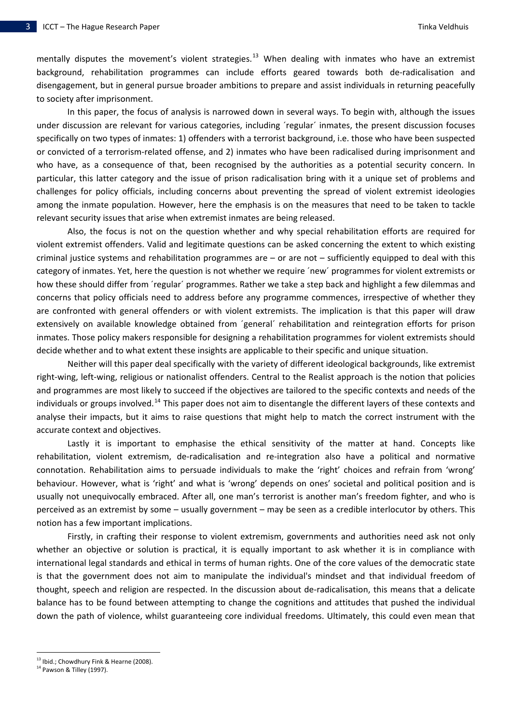mentally disputes the movement's violent strategies.<sup>[13](#page-4-0)</sup> When dealing with inmates who have an extremist background, rehabilitation programmes can include efforts geared towards both de‐radicalisation and disengagement, but in general pursue broader ambitions to prepare and assist individuals in returning peacefully to society after imprisonment.

In this paper, the focus of analysis is narrowed down in several ways. To begin with, although the issues under discussion are relevant for various categories, including ´regular´ inmates, the present discussion focuses specifically on two types of inmates: 1) offenders with a terrorist background, i.e. those who have been suspected or convicted of a terrorism‐related offense, and 2) inmates who have been radicalised during imprisonment and who have, as a consequence of that, been recognised by the authorities as a potential security concern. In particular, this latter category and the issue of prison radicalisation bring with it a unique set of problems and challenges for policy officials, including concerns about preventing the spread of violent extremist ideologies among the inmate population. However, here the emphasis is on the measures that need to be taken to tackle relevant security issues that arise when extremist inmates are being released.

Also, the focus is not on the question whether and why special rehabilitation efforts are required for violent extremist offenders. Valid and legitimate questions can be asked concerning the extent to which existing criminal justice systems and rehabilitation programmes are – or are not – sufficiently equipped to deal with this category of inmates. Yet, here the question is not whether we require ´new´ programmes for violent extremists or how these should differ from ´regular´ programmes. Rather we take a step back and highlight a few dilemmas and concerns that policy officials need to address before any programme commences, irrespective of whether they are confronted with general offenders or with violent extremists. The implication is that this paper will draw extensively on available knowledge obtained from ´general´ rehabilitation and reintegration efforts for prison inmates. Those policy makers responsible for designing a rehabilitation programmes for violent extremists should decide whether and to what extent these insights are applicable to their specific and unique situation.

Neither will this paper deal specifically with the variety of different ideological backgrounds, like extremist right-wing, left-wing, religious or nationalist offenders. Central to the Realist approach is the notion that policies and programmes are most likely to succeed if the objectives are tailored to the specific contexts and needs of the individuals or groups involved.<sup>[14](#page-4-1)</sup> This paper does not aim to disentangle the different layers of these contexts and analyse their impacts, but it aims to raise questions that might help to match the correct instrument with the accurate context and objectives.

Lastly it is important to emphasise the ethical sensitivity of the matter at hand. Concepts like rehabilitation, violent extremism, de‐radicalisation and re‐integration also have a political and normative connotation. Rehabilitation aims to persuade individuals to make the 'right' choices and refrain from 'wrong' behaviour. However, what is 'right' and what is 'wrong' depends on ones' societal and political position and is usually not unequivocally embraced. After all, one man's terrorist is another man's freedom fighter, and who is perceived as an extremist by some – usually government – may be seen as a credible interlocutor by others. This notion has a few important implications.

Firstly, in crafting their response to violent extremism, governments and authorities need ask not only whether an objective or solution is practical, it is equally important to ask whether it is in compliance with international legal standards and ethical in terms of human rights. One of the core values of the democratic state is that the government does not aim to manipulate the individual's mindset and that individual freedom of thought, speech and religion are respected. In the discussion about de‐radicalisation, this means that a delicate balance has to be found between attempting to change the cognitions and attitudes that pushed the individual down the path of violence, whilst guaranteeing core individual freedoms. Ultimately, this could even mean that

<span id="page-4-0"></span><sup>&</sup>lt;sup>13</sup> Ibid.; Chowdhury Fink & Hearne (2008).

<span id="page-4-1"></span> $14$  Pawson & Tilley (1997).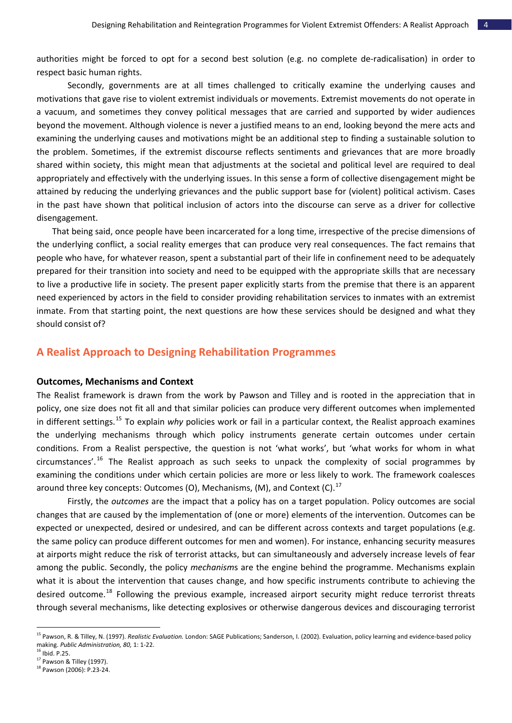authorities might be forced to opt for a second best solution (e.g. no complete de‐radicalisation) in order to respect basic human rights.

Secondly, governments are at all times challenged to critically examine the underlying causes and motivations that gave rise to violent extremist individuals or movements. Extremist movements do not operate in a vacuum, and sometimes they convey political messages that are carried and supported by wider audiences beyond the movement. Although violence is never a justified means to an end, looking beyond the mere acts and examining the underlying causes and motivations might be an additional step to finding a sustainable solution to the problem. Sometimes, if the extremist discourse reflects sentiments and grievances that are more broadly shared within society, this might mean that adjustments at the societal and political level are required to deal appropriately and effectively with the underlying issues. In this sense a form of collective disengagement might be attained by reducing the underlying grievances and the public support base for (violent) political activism. Cases in the past have shown that political inclusion of actors into the discourse can serve as a driver for collective disengagement.

That being said, once people have been incarcerated for a long time, irrespective of the precise dimensions of the underlying conflict, a social reality emerges that can produce very real consequences. The fact remains that people who have, for whatever reason, spent a substantial part of their life in confinement need to be adequately prepared for their transition into society and need to be equipped with the appropriate skills that are necessary to live a productive life in society. The present paper explicitly starts from the premise that there is an apparent need experienced by actors in the field to consider providing rehabilitation services to inmates with an extremist inmate. From that starting point, the next questions are how these services should be designed and what they should consist of?

# **A Realist Approach to Designing Rehabilitation Programmes**

### **Outcomes, Mechanisms and Context**

The Realist framework is drawn from the work by Pawson and Tilley and is rooted in the appreciation that in policy, one size does not fit all and that similar policies can produce very different outcomes when implemented in different settings.[15](#page-5-0) To explain *why* policies work or fail in a particular context, the Realist approach examines the underlying mechanisms through which policy instruments generate certain outcomes under certain conditions. From a Realist perspective, the question is not 'what works', but 'what works for whom in what circumstances'.[16](#page-5-1) The Realist approach as such seeks to unpack the complexity of social programmes by examining the conditions under which certain policies are more or less likely to work. The framework coalesces around three key concepts: Outcomes (O), Mechanisms, (M), and Context (C).<sup>[17](#page-5-2)</sup>

Firstly, the *outcomes* are the impact that a policy has on a target population. Policy outcomes are social changes that are caused by the implementation of (one or more) elements of the intervention. Outcomes can be expected or unexpected, desired or undesired, and can be different across contexts and target populations (e.g. the same policy can produce different outcomes for men and women). For instance, enhancing security measures at airports might reduce the risk of terrorist attacks, but can simultaneously and adversely increase levels of fear among the public. Secondly, the policy *mechanism*s are the engine behind the programme. Mechanisms explain what it is about the intervention that causes change, and how specific instruments contribute to achieving the desired outcome.<sup>[18](#page-5-3)</sup> Following the previous example, increased airport security might reduce terrorist threats through several mechanisms, like detecting explosives or otherwise dangerous devices and discouraging terrorist

<span id="page-5-0"></span><sup>15</sup> Pawson, R. & Tilley, N. (1997). *Realistic Evaluation.* London: SAGE Publications; Sanderson, I. (2002). Evaluation, policy learning and evidence‐based policy making. *Public Administration, 80,* 1: <sup>1</sup>‐22. <sup>16</sup> Ibid. P.25.

<span id="page-5-2"></span><span id="page-5-1"></span> $17$  Pawson & Tilley (1997).

<span id="page-5-3"></span><sup>18</sup> Pawson (2006): P.23‐24.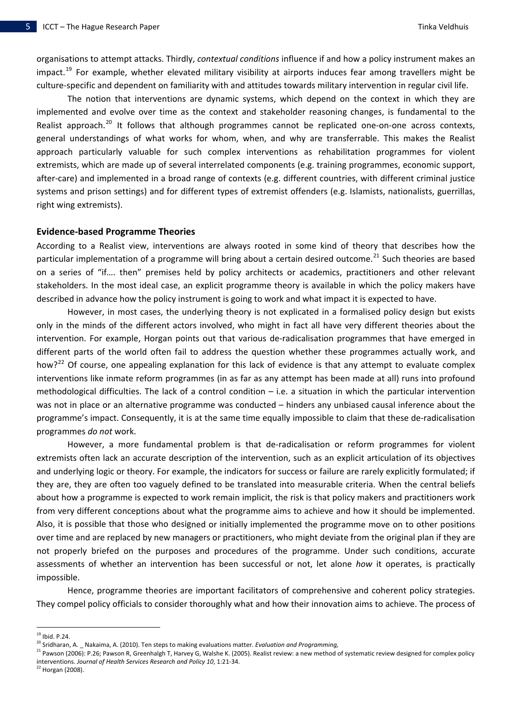organisations to attempt attacks. Thirdly, *contextual conditions* influence if and how a policy instrument makes an impact.<sup>[19](#page-6-0)</sup> For example, whether elevated military visibility at airports induces fear among travellers might be culture‐specific and dependent on familiarity with and attitudes towards military intervention in regular civil life.

The notion that interventions are dynamic systems, which depend on the context in which they are implemented and evolve over time as the context and stakeholder reasoning changes, is fundamental to the Realist approach.<sup>[20](#page-6-1)</sup> It follows that although programmes cannot be replicated one-on-one across contexts, general understandings of what works for whom, when, and why are transferrable. This makes the Realist approach particularly valuable for such complex interventions as rehabilitation programmes for violent extremists, which are made up of several interrelated components (e.g. training programmes, economic support, after-care) and implemented in a broad range of contexts (e.g. different countries, with different criminal justice systems and prison settings) and for different types of extremist offenders (e.g. Islamists, nationalists, guerrillas, right wing extremists).

#### **Evidence‐based Programme Theories**

According to a Realist view, interventions are always rooted in some kind of theory that describes how the particular implementation of a programme will bring about a certain desired outcome.<sup>[21](#page-6-2)</sup> Such theories are based on a series of "if…. then" premises held by policy architects or academics, practitioners and other relevant stakeholders. In the most ideal case, an explicit programme theory is available in which the policy makers have described in advance how the policy instrument is going to work and what impact it is expected to have.

However, in most cases, the underlying theory is not explicated in a formalised policy design but exists only in the minds of the different actors involved, who might in fact all have very different theories about the intervention. For example, Horgan points out that various de‐radicalisation programmes that have emerged in different parts of the world often fail to address the question whether these programmes actually work, and how?<sup>[22](#page-6-3)</sup> Of course, one appealing explanation for this lack of evidence is that any attempt to evaluate complex interventions like inmate reform programmes (in as far as any attempt has been made at all) runs into profound methodological difficulties. The lack of a control condition – i.e. a situation in which the particular intervention was not in place or an alternative programme was conducted – hinders any unbiased causal inference about the programme's impact. Consequently, it is at the same time equally impossible to claim that these de‐radicalisation programmes *do not* work.

However, a more fundamental problem is that de-radicalisation or reform programmes for violent extremists often lack an accurate description of the intervention, such as an explicit articulation of its objectives and underlying logic or theory. For example, the indicators for success or failure are rarely explicitly formulated; if they are, they are often too vaguely defined to be translated into measurable criteria. When the central beliefs about how a programme is expected to work remain implicit, the risk is that policy makers and practitioners work from very different conceptions about what the programme aims to achieve and how it should be implemented. Also, it is possible that those who designed or initially implemented the programme move on to other positions over time and are replaced by new managers or practitioners, who might deviate from the original plan if they are not properly briefed on the purposes and procedures of the programme. Under such conditions, accurate assessments of whether an intervention has been successful or not, let alone *how* it operates, is practically impossible.

Hence, programme theories are important facilitators of comprehensive and coherent policy strategies. They compel policy officials to consider thoroughly what and how their innovation aims to achieve. The process of

l

<span id="page-6-3"></span> $22$  Horgan (2008).

<span id="page-6-0"></span><sup>&</sup>lt;sup>19</sup> Ibid. P.24.<br><sup>20</sup> Sridharan, A. \_ Nakaima, A. (2010). Ten steps to making evaluations matter. *Evaluation and Programming,* 

<span id="page-6-2"></span><span id="page-6-1"></span><sup>&</sup>lt;sup>21</sup> Pawson (2006): P.26; Pawson R, Greenhalgh T, Harvey G, Walshe K. (2005). Realist review: a new method of systematic review designed for complex policy interventions. *Journal of Health Services Research and Policy 10*, 1:21‐34.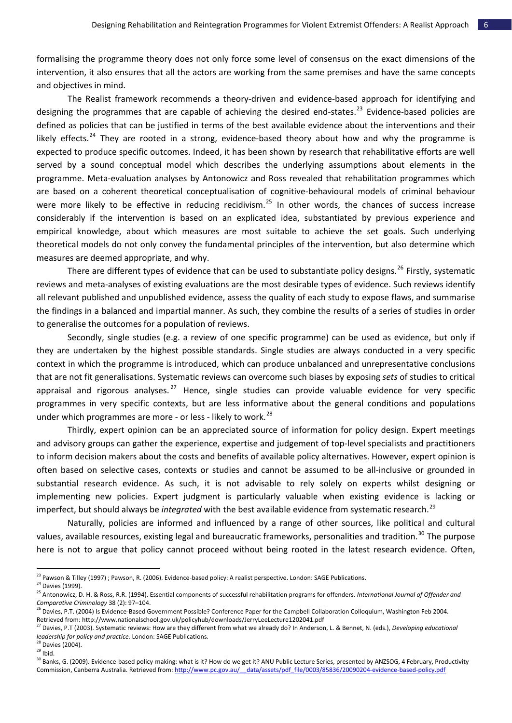formalising the programme theory does not only force some level of consensus on the exact dimensions of the intervention, it also ensures that all the actors are working from the same premises and have the same concepts and objectives in mind.

The Realist framework recommends a theory-driven and evidence-based approach for identifying and designing the programmes that are capable of achieving the desired end-states.<sup>[23](#page-7-0)</sup> Evidence-based policies are defined as policies that can be justified in terms of the best available evidence about the interventions and their likely effects.<sup>[24](#page-7-1)</sup> They are rooted in a strong, evidence-based theory about how and why the programme is expected to produce specific outcomes. Indeed, it has been shown by research that rehabilitative efforts are well served by a sound conceptual model which describes the underlying assumptions about elements in the programme. Meta‐evaluation analyses by Antonowicz and Ross revealed that rehabilitation programmes which are based on a coherent theoretical conceptualisation of cognitive‐behavioural models of criminal behaviour were more likely to be effective in reducing recidivism.<sup>[25](#page-7-2)</sup> In other words, the chances of success increase considerably if the intervention is based on an explicated idea, substantiated by previous experience and empirical knowledge, about which measures are most suitable to achieve the set goals. Such underlying theoretical models do not only convey the fundamental principles of the intervention, but also determine which measures are deemed appropriate, and why.

There are different types of evidence that can be used to substantiate policy designs.<sup>[26](#page-7-3)</sup> Firstly, systematic reviews and meta‐analyses of existing evaluations are the most desirable types of evidence. Such reviews identify all relevant published and unpublished evidence, assess the quality of each study to expose flaws, and summarise the findings in a balanced and impartial manner. As such, they combine the results of a series of studies in order to generalise the outcomes for a population of reviews.

Secondly, single studies (e.g. a review of one specific programme) can be used as evidence, but only if they are undertaken by the highest possible standards. Single studies are always conducted in a very specific context in which the programme is introduced, which can produce unbalanced and unrepresentative conclusions that are not fit generalisations. Systematic reviews can overcome such biases by exposing *sets* of studies to critical appraisal and rigorous analyses.<sup>[27](#page-7-4)</sup> Hence, single studies can provide valuable evidence for very specific programmes in very specific contexts, but are less informative about the general conditions and populations under which programmes are more - or less - likely to work.<sup>[28](#page-7-5)</sup>

Thirdly, expert opinion can be an appreciated source of information for policy design. Expert meetings and advisory groups can gather the experience, expertise and judgement of top-level specialists and practitioners to inform decision makers about the costs and benefits of available policy alternatives. However, expert opinion is often based on selective cases, contexts or studies and cannot be assumed to be all‐inclusive or grounded in substantial research evidence. As such, it is not advisable to rely solely on experts whilst designing or implementing new policies. Expert judgment is particularly valuable when existing evidence is lacking or imperfect, but should always be *integrated* with the best available evidence from systematic research.<sup>[29](#page-7-6)</sup>

Naturally, policies are informed and influenced by a range of other sources, like political and cultural values, available resources, existing legal and bureaucratic frameworks, personalities and tradition.<sup>[30](#page-7-7)</sup> The purpose here is not to argue that policy cannot proceed without being rooted in the latest research evidence. Often,

<span id="page-7-1"></span><span id="page-7-0"></span><sup>&</sup>lt;sup>23</sup> Pawson & Tilley (1997) ; Pawson, R. (2006). Evidence-based policy: A realist perspective. London: SAGE Publications.<br><sup>24</sup> Davies (1999).

<span id="page-7-2"></span><sup>25</sup> Antonowicz, D. H. & Ross, R.R. (1994). Essential components of successful rehabilitation programs for offenders. *International Journal of Offender and Comparative Criminology* 38 (2): 97–104.

<span id="page-7-3"></span><sup>&</sup>lt;sup>26</sup> Davies, P.T. (2004) Is Evidence-Based Government Possible? Conference Paper for the Campbell Collaboration Colloquium, Washington Feb 2004. Retrieved from: http://www.nationalschool.gov.uk/policyhub/downloads/JerryLeeLecture1202041.pdf

<span id="page-7-4"></span><sup>27</sup> Davies, P.T (2003). Systematic reviews: How are they different from what we already do? In Anderson, L. & Bennet, N. (eds.), *Developing educational leadership for policy and practice.* London: SAGE Publications.

<span id="page-7-5"></span> $^{28}$  Davies (2004).<br> $^{29}$  Ibid.

<span id="page-7-7"></span><span id="page-7-6"></span>

<sup>&</sup>lt;sup>30</sup> Banks, G. (2009). Evidence-based policy-making: what is it? How do we get it? ANU Public Lecture Series, presented by ANZSOG, 4 February, Productivity Commission, Canberra Australia. Retrieved from: http://www.pc.gov.au/ data/assets/pdf file/0003/85836/20090204-evidence-based-policy.pdf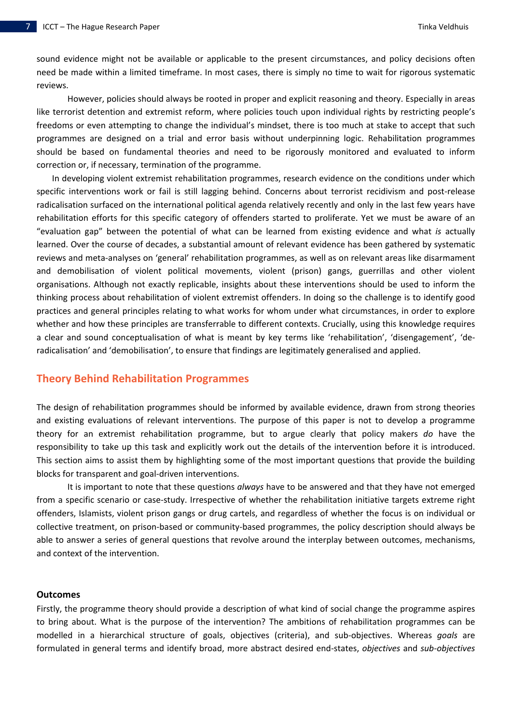sound evidence might not be available or applicable to the present circumstances, and policy decisions often need be made within a limited timeframe. In most cases, there is simply no time to wait for rigorous systematic reviews.

However, policies should always be rooted in proper and explicit reasoning and theory. Especially in areas like terrorist detention and extremist reform, where policies touch upon individual rights by restricting people's freedoms or even attempting to change the individual's mindset, there is too much at stake to accept that such programmes are designed on a trial and error basis without underpinning logic. Rehabilitation programmes should be based on fundamental theories and need to be rigorously monitored and evaluated to inform correction or, if necessary, termination of the programme.

In developing violent extremist rehabilitation programmes, research evidence on the conditions under which specific interventions work or fail is still lagging behind. Concerns about terrorist recidivism and post-release radicalisation surfaced on the international political agenda relatively recently and only in the last few years have rehabilitation efforts for this specific category of offenders started to proliferate. Yet we must be aware of an "evaluation gap" between the potential of what can be learned from existing evidence and what *is* actually learned. Over the course of decades, a substantial amount of relevant evidence has been gathered by systematic reviews and meta‐analyses on 'general' rehabilitation programmes, as well as on relevant areas like disarmament and demobilisation of violent political movements, violent (prison) gangs, guerrillas and other violent organisations. Although not exactly replicable, insights about these interventions should be used to inform the thinking process about rehabilitation of violent extremist offenders. In doing so the challenge is to identify good practices and general principles relating to what works for whom under what circumstances, in order to explore whether and how these principles are transferrable to different contexts. Crucially, using this knowledge requires a clear and sound conceptualisation of what is meant by key terms like 'rehabilitation', 'disengagement', 'deradicalisation' and 'demobilisation', to ensure that findings are legitimately generalised and applied.

# **Theory Behind Rehabilitation Programmes**

The design of rehabilitation programmes should be informed by available evidence, drawn from strong theories and existing evaluations of relevant interventions. The purpose of this paper is not to develop a programme theory for an extremist rehabilitation programme, but to argue clearly that policy makers *do* have the responsibility to take up this task and explicitly work out the details of the intervention before it is introduced. This section aims to assist them by highlighting some of the most important questions that provide the building blocks for transparent and goal‐driven interventions.

It is important to note that these questions *always* have to be answered and that they have not emerged from a specific scenario or case-study. Irrespective of whether the rehabilitation initiative targets extreme right offenders, Islamists, violent prison gangs or drug cartels, and regardless of whether the focus is on individual or collective treatment, on prison‐based or community‐based programmes, the policy description should always be able to answer a series of general questions that revolve around the interplay between outcomes, mechanisms, and context of the intervention.

### **Outcomes**

Firstly, the programme theory should provide a description of what kind of social change the programme aspires to bring about. What is the purpose of the intervention? The ambitions of rehabilitation programmes can be modelled in a hierarchical structure of goals, objectives (criteria), and sub‐objectives. Whereas *goals* are formulated in general terms and identify broad, more abstract desired end‐states, *objectives* and *sub‐objectives*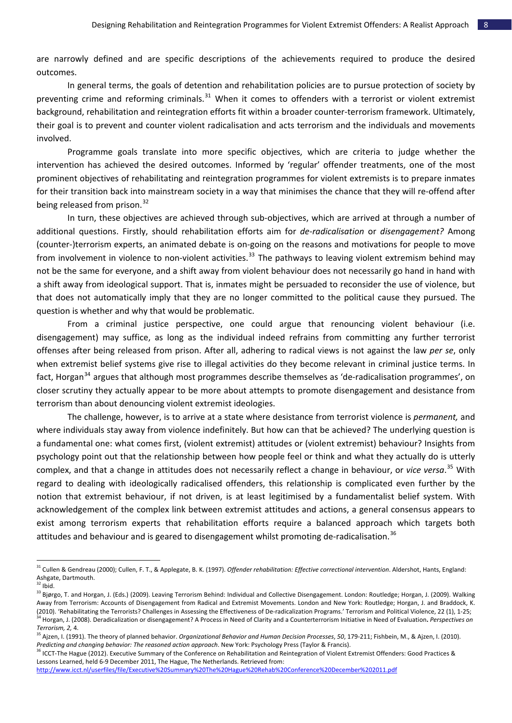are narrowly defined and are specific descriptions of the achievements required to produce the desired outcomes.

In general terms, the goals of detention and rehabilitation policies are to pursue protection of society by preventing crime and reforming criminals. $31$  When it comes to offenders with a terrorist or violent extremist background, rehabilitation and reintegration efforts fit within a broader counter‐terrorism framework. Ultimately, their goal is to prevent and counter violent radicalisation and acts terrorism and the individuals and movements involved.

Programme goals translate into more specific objectives, which are criteria to judge whether the intervention has achieved the desired outcomes. Informed by 'regular' offender treatments, one of the most prominent objectives of rehabilitating and reintegration programmes for violent extremists is to prepare inmates for their transition back into mainstream society in a way that minimises the chance that they will re-offend after being released from prison.<sup>[32](#page-9-1)</sup>

In turn, these objectives are achieved through sub-objectives, which are arrived at through a number of additional questions. Firstly, should rehabilitation efforts aim for *de‐radicalisation* or *disengagement?* Among (counter‐)terrorism experts, an animated debate is on‐going on the reasons and motivations for people to move from involvement in violence to non-violent activities.<sup>[33](#page-9-2)</sup> The pathways to leaving violent extremism behind may not be the same for everyone, and a shift away from violent behaviour does not necessarily go hand in hand with a shift away from ideological support. That is, inmates might be persuaded to reconsider the use of violence, but that does not automatically imply that they are no longer committed to the political cause they pursued. The question is whether and why that would be problematic.

From a criminal justice perspective, one could argue that renouncing violent behaviour (i.e. disengagement) may suffice, as long as the individual indeed refrains from committing any further terrorist offenses after being released from prison. After all, adhering to radical views is not against the law *per se*, only when extremist belief systems give rise to illegal activities do they become relevant in criminal justice terms. In fact, Horgan<sup>[34](#page-9-3)</sup> argues that although most programmes describe themselves as 'de-radicalisation programmes', on closer scrutiny they actually appear to be more about attempts to promote disengagement and desistance from terrorism than about denouncing violent extremist ideologies.

The challenge, however, is to arrive at a state where desistance from terrorist violence is *permanent,* and where individuals stay away from violence indefinitely. But how can that be achieved? The underlying question is a fundamental one: what comes first, (violent extremist) attitudes or (violent extremist) behaviour? Insights from psychology point out that the relationship between how people feel or think and what they actually do is utterly complex, and that a change in attitudes does not necessarily reflect a change in behaviour, or *vice versa*. [35](#page-9-4) With regard to dealing with ideologically radicalised offenders, this relationship is complicated even further by the notion that extremist behaviour, if not driven, is at least legitimised by a fundamentalist belief system. With acknowledgement of the complex link between extremist attitudes and actions, a general consensus appears to exist among terrorism experts that rehabilitation efforts require a balanced approach which targets both attitudes and behaviour and is geared to disengagement whilst promoting de-radicalisation.<sup>[36](#page-9-5)</sup>

<span id="page-9-0"></span><sup>31</sup> Cullen & Gendreau (2000); Cullen, F. T., & Applegate, B. K. (1997). *Offender rehabilitation: Effective correctional intervention*. Aldershot, Hants, England: Ashgate, Dartmouth.<br>
<sup>32</sup> Ibid.

<span id="page-9-2"></span><span id="page-9-1"></span><sup>&</sup>lt;sup>33</sup> Bjørgo, T. and Horgan, J. (Eds.) (2009). Leaving Terrorism Behind: Individual and Collective Disengagement. London: Routledge; Horgan, J. (2009). Walking Away from Terrorism: Accounts of Disengagement from Radical and Extremist Movements. London and New York: Routledge; Horgan, J. and Braddock, K. (2010). 'Rehabilitating the Terrorists? Challenges in Assessing the Effectiveness of De-radicalization Programs.' Terrorism and Political Violence, 22 (1), 1-25;<br><sup>34</sup> Horgan, J. (2008). Deradicalization or disengagement? A *Terrorism, 2,* 4.

<span id="page-9-4"></span><span id="page-9-3"></span><sup>35</sup> Ajzen, I. (1991). The theory of planned behavior. *Organizational Behavior and Human Decision Processes*, *50*, 179‐211; Fishbein, M., & Ajzen, I. (2010). Predicting and changing behavior: The reasoned action approach. New York: Psychology Press (Taylor & Francis).<br><sup>36</sup> ICCT-The Hague (2012). Executive Summary of the Conference on Rehabilitation and Reintegration of Violent

<span id="page-9-5"></span>Lessons Learned, held 6‐9 December 2011, The Hague, The Netherlands. Retrieved from:

<http://www.icct.nl/userfiles/file/Executive%20Summary%20The%20Hague%20Rehab%20Conference%20December%202011.pdf>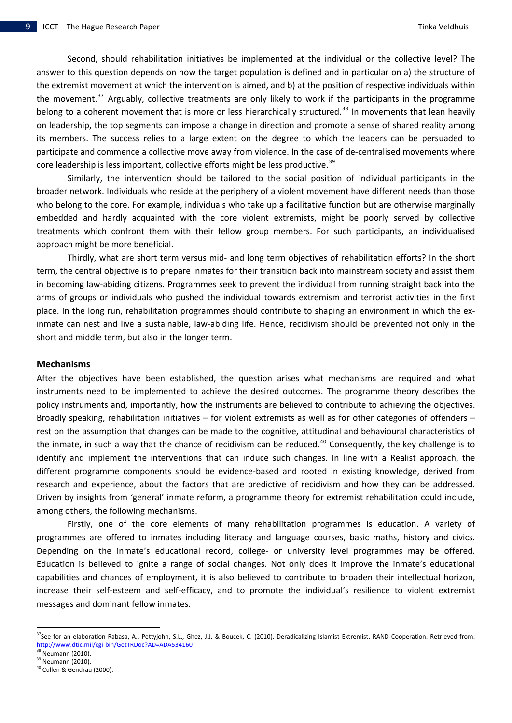Second, should rehabilitation initiatives be implemented at the individual or the collective level? The answer to this question depends on how the target population is defined and in particular on a) the structure of the extremist movement at which the intervention is aimed, and b) at the position of respective individuals within the movement.<sup>[37](#page-10-0)</sup> Arguably, collective treatments are only likely to work if the participants in the programme belong to a coherent movement that is more or less hierarchically structured.<sup>[38](#page-10-1)</sup> In movements that lean heavily on leadership, the top segments can impose a change in direction and promote a sense of shared reality among its members. The success relies to a large extent on the degree to which the leaders can be persuaded to participate and commence a collective move away from violence. In the case of de‐centralised movements where core leadership is less important, collective efforts might be less productive.<sup>[39](#page-10-2)</sup>

Similarly, the intervention should be tailored to the social position of individual participants in the broader network. Individuals who reside at the periphery of a violent movement have different needs than those who belong to the core. For example, individuals who take up a facilitative function but are otherwise marginally embedded and hardly acquainted with the core violent extremists, might be poorly served by collective treatments which confront them with their fellow group members. For such participants, an individualised approach might be more beneficial.

Thirdly, what are short term versus mid‐ and long term objectives of rehabilitation efforts? In the short term, the central objective is to prepare inmates for their transition back into mainstream society and assist them in becoming law‐abiding citizens. Programmes seek to prevent the individual from running straight back into the arms of groups or individuals who pushed the individual towards extremism and terrorist activities in the first place. In the long run, rehabilitation programmes should contribute to shaping an environment in which the ex‐ inmate can nest and live a sustainable, law-abiding life. Hence, recidivism should be prevented not only in the short and middle term, but also in the longer term.

#### **Mechanisms**

After the objectives have been established, the question arises what mechanisms are required and what instruments need to be implemented to achieve the desired outcomes. The programme theory describes the policy instruments and, importantly, how the instruments are believed to contribute to achieving the objectives. Broadly speaking, rehabilitation initiatives – for violent extremists as well as for other categories of offenders – rest on the assumption that changes can be made to the cognitive, attitudinal and behavioural characteristics of the inmate, in such a way that the chance of recidivism can be reduced.<sup>[40](#page-10-3)</sup> Consequently, the key challenge is to identify and implement the interventions that can induce such changes. In line with a Realist approach, the different programme components should be evidence‐based and rooted in existing knowledge, derived from research and experience, about the factors that are predictive of recidivism and how they can be addressed. Driven by insights from 'general' inmate reform, a programme theory for extremist rehabilitation could include, among others, the following mechanisms.

Firstly, one of the core elements of many rehabilitation programmes is education. A variety of programmes are offered to inmates including literacy and language courses, basic maths, history and civics. Depending on the inmate's educational record, college- or university level programmes may be offered. Education is believed to ignite a range of social changes. Not only does it improve the inmate's educational capabilities and chances of employment, it is also believed to contribute to broaden their intellectual horizon, increase their self‐esteem and self‐efficacy, and to promote the individual's resilience to violent extremist messages and dominant fellow inmates.

<span id="page-10-0"></span><sup>&</sup>lt;sup>37</sup>See for an elaboration Rabasa, A., Pettyjohn, S.L., Ghez, J.J. & Boucek, C. (2010). Deradicalizing Islamist Extremist. RAND Cooperation. Retrieved from: http://www.dtic.mil/cgi-[bin/GetTRDoc?AD=ADA534160](http://www.dtic.mil/cgi-bin/GetTRDoc?AD=ADA534160)<br><sup>38</sup> Neumann (2010).

<span id="page-10-1"></span>

<span id="page-10-2"></span><sup>&</sup>lt;sup>39</sup> Neumann (2010).

<span id="page-10-3"></span><sup>&</sup>lt;sup>40</sup> Cullen & Gendrau (2000).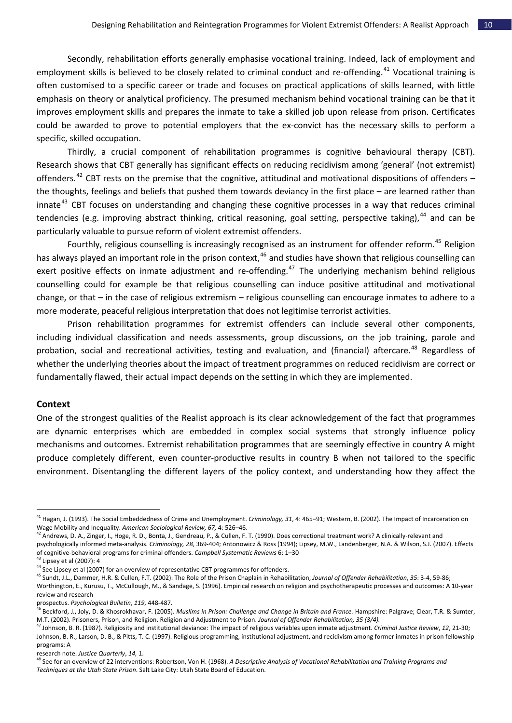Secondly, rehabilitation efforts generally emphasise vocational training. Indeed, lack of employment and employment skills is believed to be closely related to criminal conduct and re-offending.<sup>[41](#page-11-0)</sup> Vocational training is often customised to a specific career or trade and focuses on practical applications of skills learned, with little emphasis on theory or analytical proficiency. The presumed mechanism behind vocational training can be that it improves employment skills and prepares the inmate to take a skilled job upon release from prison. Certificates could be awarded to prove to potential employers that the ex‐convict has the necessary skills to perform a specific, skilled occupation.

Thirdly, a crucial component of rehabilitation programmes is cognitive behavioural therapy (CBT). Research shows that CBT generally has significant effects on reducing recidivism among 'general' (not extremist) offenders.<sup>[42](#page-11-1)</sup> CBT rests on the premise that the cognitive, attitudinal and motivational dispositions of offenders  $$ the thoughts, feelings and beliefs that pushed them towards deviancy in the first place – are learned rather than innate<sup>[43](#page-11-2)</sup> CBT focuses on understanding and changing these cognitive processes in a way that reduces criminal tendencies (e.g. improving abstract thinking, critical reasoning, goal setting, perspective taking),<sup>[44](#page-11-3)</sup> and can be particularly valuable to pursue reform of violent extremist offenders.

Fourthly, religious counselling is increasingly recognised as an instrument for offender reform.<sup>[45](#page-11-4)</sup> Religion has always played an important role in the prison context,  $46$  and studies have shown that religious counselling can exert positive effects on inmate adjustment and re-offending.<sup>[47](#page-11-6)</sup> The underlying mechanism behind religious counselling could for example be that religious counselling can induce positive attitudinal and motivational change, or that – in the case of religious extremism – religious counselling can encourage inmates to adhere to a more moderate, peaceful religious interpretation that does not legitimise terrorist activities.

Prison rehabilitation programmes for extremist offenders can include several other components, including individual classification and needs assessments, group discussions, on the job training, parole and probation, social and recreational activities, testing and evaluation, and (financial) aftercare.<sup>[48](#page-11-7)</sup> Regardless of whether the underlying theories about the impact of treatment programmes on reduced recidivism are correct or fundamentally flawed, their actual impact depends on the setting in which they are implemented.

#### **Context**

l

One of the strongest qualities of the Realist approach is its clear acknowledgement of the fact that programmes are dynamic enterprises which are embedded in complex social systems that strongly influence policy mechanisms and outcomes. Extremist rehabilitation programmes that are seemingly effective in country A might produce completely different, even counter‐productive results in country B when not tailored to the specific environment. Disentangling the different layers of the policy context, and understanding how they affect the

<span id="page-11-0"></span><sup>41</sup> Hagan, J. (1993). The Social Embeddedness of Crime and Unemployment. *Criminology, 31*, 4: 465–91; Western, B. (2002). The Impact of Incarceration on Wage Mobility and Inequality. *American Sociological Review, 67,* 4: 526–46.

<span id="page-11-1"></span> $^{42}$  Andrews, D. A., Zinger, I., Hoge, R. D., Bonta, J., Gendreau, P., & Cullen, F. T. (1990). Does correctional treatment work? A clinically-relevant and psychologically informed meta‐analysis. *Criminology, 28*, 369‐404; Antonowicz & Ross (1994); Lipsey, M.W., Landenberger, N.A. & Wilson, S.J. (2007). Effects of cognitive‐behavioral programs for criminal offenders. *Campbell Systematic Reviews* 6: 1–30

<span id="page-11-2"></span> $43$  Lipsey et al (2007): 4

<span id="page-11-3"></span><sup>&</sup>lt;sup>44</sup> See Lipsey et al (2007) for an overview of representative CBT programmes for offenders.

<span id="page-11-4"></span><sup>45</sup> Sundt, J.L., Dammer, H.R. & Cullen, F.T. (2002): The Role of the Prison Chaplain in Rehabilitation, *Journal of Offender Rehabilitation*, *35*: 3‐4, 59‐86; Worthington, E., Kurusu, T., McCullough, M., & Sandage, S. (1996). Empirical research on religion and psychotherapeutic processes and outcomes: A 10‐year review and research

prospectus. *Psychological Bulletin*, *119*, 448‐487.

<span id="page-11-5"></span><sup>&</sup>lt;sup>46</sup> Beckford, J., Joly, D. & Khosrokhavar, F. (2005). Muslims in Prison: Challenge and Change in Britain and France. Hampshire: Palgrave; Clear, T.R. & Sumter, M.T. (2002). Prisoners, Prison, and Religion. Religion and Adjustment to Prison. *Journal of Offender Rehabilitation, 35 (3/4).*

<span id="page-11-6"></span><sup>47</sup> Johnson, B. R. (1987). Religiosity and institutional deviance: The impact of religious variables upon inmate adjustment. *Criminal Justice Review*, *12*, 21‐30; Johnson, B. R., Larson, D. B., & Pitts, T. C. (1997). Religious programming, institutional adjustment, and recidivism among former inmates in prison fellowship

programs: A research note. *Justice Quarterly*, *14,* 1.

<span id="page-11-7"></span><sup>48</sup> See for an overview of 22 interventions: Robertson, Von H. (1968). *A Descriptive Analysis of Vocational Rehabilitation and Training Programs and Techniques at the Utah State Prison*. Salt Lake City: Utah State Board of Education.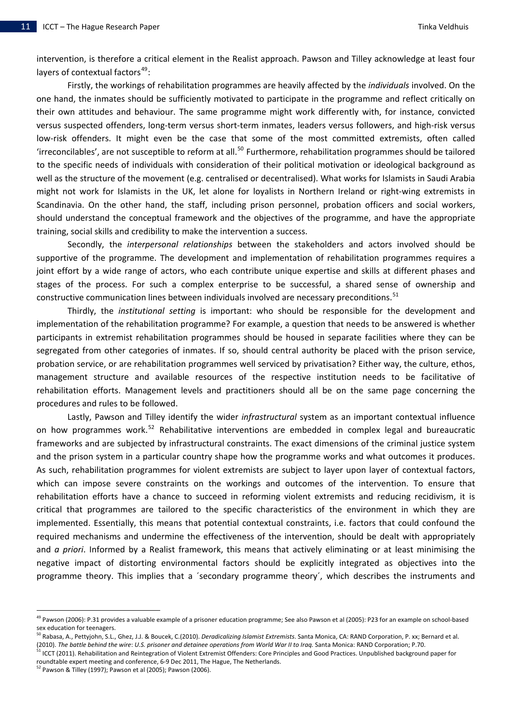intervention, is therefore a critical element in the Realist approach. Pawson and Tilley acknowledge at least four layers of contextual factors<sup>[49](#page-12-0)</sup>:

Firstly, the workings of rehabilitation programmes are heavily affected by the *individuals* involved. On the one hand, the inmates should be sufficiently motivated to participate in the programme and reflect critically on their own attitudes and behaviour. The same programme might work differently with, for instance, convicted versus suspected offenders, long‐term versus short‐term inmates, leaders versus followers, and high‐risk versus low-risk offenders. It might even be the case that some of the most committed extremists, often called 'irreconcilables', are not susceptible to reform at all.<sup>[50](#page-12-1)</sup> Furthermore, rehabilitation programmes should be tailored to the specific needs of individuals with consideration of their political motivation or ideological background as well as the structure of the movement (e.g. centralised or decentralised). What works for Islamists in Saudi Arabia might not work for Islamists in the UK, let alone for loyalists in Northern Ireland or right‐wing extremists in Scandinavia. On the other hand, the staff, including prison personnel, probation officers and social workers, should understand the conceptual framework and the objectives of the programme, and have the appropriate training, social skills and credibility to make the intervention a success.

Secondly, the *interpersonal relationships* between the stakeholders and actors involved should be supportive of the programme. The development and implementation of rehabilitation programmes requires a joint effort by a wide range of actors, who each contribute unique expertise and skills at different phases and stages of the process. For such a complex enterprise to be successful, a shared sense of ownership and constructive communication lines between individuals involved are necessary preconditions.<sup>[51](#page-12-2)</sup>

Thirdly, the *institutional setting* is important: who should be responsible for the development and implementation of the rehabilitation programme? For example, a question that needs to be answered is whether participants in extremist rehabilitation programmes should be housed in separate facilities where they can be segregated from other categories of inmates. If so, should central authority be placed with the prison service, probation service, or are rehabilitation programmes well serviced by privatisation? Either way, the culture, ethos, management structure and available resources of the respective institution needs to be facilitative of rehabilitation efforts. Management levels and practitioners should all be on the same page concerning the procedures and rules to be followed.

Lastly, Pawson and Tilley identify the wider *infrastructural* system as an important contextual influence on how programmes work.<sup>[52](#page-12-3)</sup> Rehabilitative interventions are embedded in complex legal and bureaucratic frameworks and are subjected by infrastructural constraints. The exact dimensions of the criminal justice system and the prison system in a particular country shape how the programme works and what outcomes it produces. As such, rehabilitation programmes for violent extremists are subject to layer upon layer of contextual factors, which can impose severe constraints on the workings and outcomes of the intervention. To ensure that rehabilitation efforts have a chance to succeed in reforming violent extremists and reducing recidivism, it is critical that programmes are tailored to the specific characteristics of the environment in which they are implemented. Essentially, this means that potential contextual constraints, i.e. factors that could confound the required mechanisms and undermine the effectiveness of the intervention, should be dealt with appropriately and *a priori*. Informed by a Realist framework, this means that actively eliminating or at least minimising the negative impact of distorting environmental factors should be explicitly integrated as objectives into the programme theory. This implies that a ´secondary programme theory´, which describes the instruments and

<span id="page-12-0"></span><sup>&</sup>lt;sup>49</sup> Pawson (2006): P.31 provides a valuable example of a prisoner education programme; See also Pawson et al (2005): P23 for an example on school-based sex education for teenagers.

<span id="page-12-1"></span><sup>50</sup> Rabasa, A., Pettyjohn, S.L., Ghez, J.J. & Boucek, C.(2010). *Deradicalizing Islamist Extremists*. Santa Monica, CA: RAND Corporation, P. xx; Bernard et al.

<span id="page-12-2"></span><sup>(2010).</sup> The battle behind the wire: U.S. prisoner and detainee operations from World War II to Iraq. Santa Monica: RAND Corporation; P.70.<br><sup>51</sup> ICCT (2011). Rehabilitation and Reintegration of Violent Extremist Offenders: roundtable expert meeting and conference, 6‐9 Dec 2011, The Hague, The Netherlands.

<span id="page-12-3"></span> $52$  Pawson & Tilley (1997); Pawson et al (2005); Pawson (2006).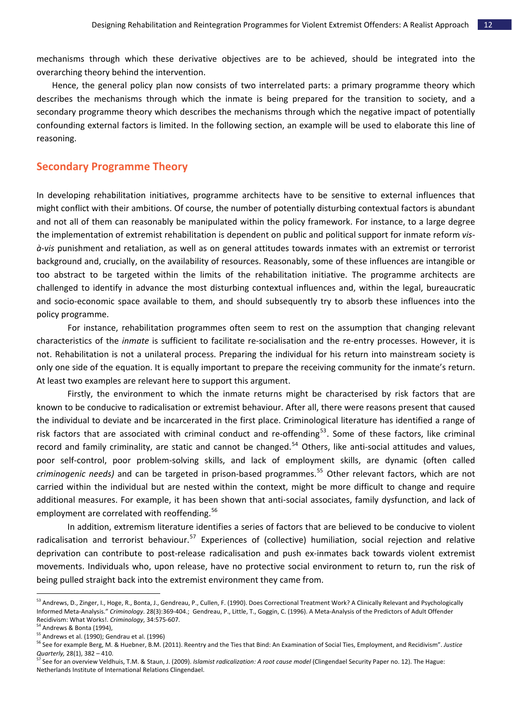mechanisms through which these derivative objectives are to be achieved, should be integrated into the overarching theory behind the intervention.

Hence, the general policy plan now consists of two interrelated parts: a primary programme theory which describes the mechanisms through which the inmate is being prepared for the transition to society, and a secondary programme theory which describes the mechanisms through which the negative impact of potentially confounding external factors is limited. In the following section, an example will be used to elaborate this line of reasoning.

# **Secondary Programme Theory**

In developing rehabilitation initiatives, programme architects have to be sensitive to external influences that might conflict with their ambitions. Of course, the number of potentially disturbing contextual factors is abundant and not all of them can reasonably be manipulated within the policy framework. For instance, to a large degree the implementation of extremist rehabilitation is dependent on public and political support for inmate reform *vis‐ à‐vis* punishment and retaliation, as well as on general attitudes towards inmates with an extremist or terrorist background and, crucially, on the availability of resources. Reasonably, some of these influences are intangible or too abstract to be targeted within the limits of the rehabilitation initiative. The programme architects are challenged to identify in advance the most disturbing contextual influences and, within the legal, bureaucratic and socio‐economic space available to them, and should subsequently try to absorb these influences into the policy programme.

For instance, rehabilitation programmes often seem to rest on the assumption that changing relevant characteristics of the *inmate* is sufficient to facilitate re‐socialisation and the re‐entry processes. However, it is not. Rehabilitation is not a unilateral process. Preparing the individual for his return into mainstream society is only one side of the equation. It is equally important to prepare the receiving community for the inmate's return. At least two examples are relevant here to support this argument.

Firstly, the environment to which the inmate returns might be characterised by risk factors that are known to be conducive to radicalisation or extremist behaviour. After all, there were reasons present that caused the individual to deviate and be incarcerated in the first place. Criminological literature has identified a range of risk factors that are associated with criminal conduct and re-offending<sup>[53](#page-13-0)</sup>. Some of these factors, like criminal record and family criminality, are static and cannot be changed.<sup>[54](#page-13-1)</sup> Others, like anti-social attitudes and values, poor self-control, poor problem-solving skills, and lack of employment skills, are dynamic (often called *criminogenic needs)* and can be targeted in prison‐based programmes.[55](#page-13-2) Other relevant factors, which are not carried within the individual but are nested within the context, might be more difficult to change and require additional measures. For example, it has been shown that anti-social associates, family dysfunction, and lack of employment are correlated with reoffending.<sup>[56](#page-13-3)</sup>

In addition, extremism literature identifies a series of factors that are believed to be conducive to violent radicalisation and terrorist behaviour.<sup>[57](#page-13-4)</sup> Experiences of (collective) humiliation, social rejection and relative deprivation can contribute to post‐release radicalisation and push ex‐inmates back towards violent extremist movements. Individuals who, upon release, have no protective social environment to return to, run the risk of being pulled straight back into the extremist environment they came from.

<span id="page-13-0"></span><sup>&</sup>lt;sup>53</sup> Andrews, D., Zinger, I., Hoge, R., Bonta, J., Gendreau, P., Cullen, F. (1990). Does Correctional Treatment Work? A Clinically Relevant and Psychologically Informed Meta‐Analysis." *Criminology*. 28(3):369‐404.; Gendreau, P., Little, T., Goggin, C. (1996). A Meta‐Analysis of the Predictors of Adult Offender Recidivism: What Works!. *Criminology*, 34:575‐607.

<sup>&</sup>lt;sup>54</sup> Andrews & Bonta (1994),

<span id="page-13-2"></span><span id="page-13-1"></span><sup>55</sup> Andrews et al. (1990); Gendrau et al. (1996)

<span id="page-13-3"></span><sup>56</sup> See for example Berg, M. & Huebner, B.M. (2011). Reentry and the Ties that Bind: An Examination of Social Ties, Employment, and Recidivism". *Justice Quarterly,* 28(1), 382 – 410.

<span id="page-13-4"></span><sup>57</sup> See for an overview Veldhuis, T.M. & Staun, J. (2009). *Islamist radicalization: A root cause model* (Clingendael Security Paper no. 12). The Hague: Netherlands Institute of International Relations Clingendael.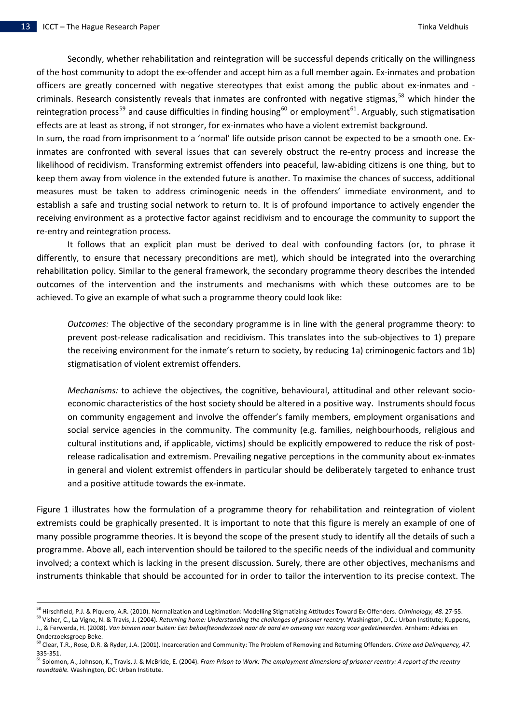l

Secondly, whether rehabilitation and reintegration will be successful depends critically on the willingness of the host community to adopt the ex‐offender and accept him as a full member again. Ex‐inmates and probation officers are greatly concerned with negative stereotypes that exist among the public about ex‐inmates and ‐ criminals. Research consistently reveals that inmates are confronted with negative stigmas,<sup>[58](#page-14-0)</sup> which hinder the reintegration process<sup>[59](#page-14-1)</sup> and cause difficulties in finding housing<sup>[60](#page-14-2)</sup> or employment<sup>[61](#page-14-3)</sup>. Arguably, such stigmatisation effects are at least as strong, if not stronger, for ex-inmates who have a violent extremist background.

In sum, the road from imprisonment to a 'normal' life outside prison cannot be expected to be a smooth one. Ex‐ inmates are confronted with several issues that can severely obstruct the re-entry process and increase the likelihood of recidivism. Transforming extremist offenders into peaceful, law‐abiding citizens is one thing, but to keep them away from violence in the extended future is another. To maximise the chances of success, additional measures must be taken to address criminogenic needs in the offenders' immediate environment, and to establish a safe and trusting social network to return to. It is of profound importance to actively engender the receiving environment as a protective factor against recidivism and to encourage the community to support the re‐entry and reintegration process.

It follows that an explicit plan must be derived to deal with confounding factors (or, to phrase it differently, to ensure that necessary preconditions are met), which should be integrated into the overarching rehabilitation policy. Similar to the general framework, the secondary programme theory describes the intended outcomes of the intervention and the instruments and mechanisms with which these outcomes are to be achieved. To give an example of what such a programme theory could look like:

*Outcomes:* The objective of the secondary programme is in line with the general programme theory: to prevent post‐release radicalisation and recidivism. This translates into the sub‐objectives to 1) prepare the receiving environment for the inmate's return to society, by reducing 1a) criminogenic factors and 1b) stigmatisation of violent extremist offenders.

*Mechanisms:* to achieve the objectives, the cognitive, behavioural, attitudinal and other relevant socioeconomic characteristics of the host society should be altered in a positive way. Instruments should focus on community engagement and involve the offender's family members, employment organisations and social service agencies in the community. The community (e.g. families, neighbourhoods, religious and cultural institutions and, if applicable, victims) should be explicitly empowered to reduce the risk of post‐ release radicalisation and extremism. Prevailing negative perceptions in the community about ex‐inmates in general and violent extremist offenders in particular should be deliberately targeted to enhance trust and a positive attitude towards the ex-inmate.

Figure 1 illustrates how the formulation of a programme theory for rehabilitation and reintegration of violent extremists could be graphically presented. It is important to note that this figure is merely an example of one of many possible programme theories. It is beyond the scope of the present study to identify all the details of such a programme. Above all, each intervention should be tailored to the specific needs of the individual and community involved; a context which is lacking in the present discussion. Surely, there are other objectives, mechanisms and instruments thinkable that should be accounted for in order to tailor the intervention to its precise context. The

<span id="page-14-0"></span><sup>&</sup>lt;sup>58</sup> Hirschfield, P.J. & Piquero, A.R. (2010). Normalization and Legitimation: Modelling Stigmatizing Attitudes Toward Ex-Offenders. Criminology, 48. 27-55.<br><sup>59</sup> Visher, C., La Vigne, N. & Travis, J. (2004). Returning home

<span id="page-14-1"></span>J., & Ferwerda, H. (2008). Van binnen naar buiten: Een behoefteonderzoek naar de aard en omvang van nazorg voor gedetineerden. Arnhem: Advies en Onderzoeksgroep Beke.

<span id="page-14-2"></span><sup>60</sup> Clear, T.R., Rose, D.R. & Ryder, J.A. (2001). Incarceration and Community: The Problem of Removing and Returning Offenders. *Crime and Delinquency, 47.* 335‐351.

<span id="page-14-3"></span><sup>&</sup>lt;sup>61</sup> Solomon, A., Johnson, K., Travis, J. & McBride, E. (2004). From Prison to Work: The employment dimensions of prisoner reentry: A report of the reentry *roundtable.* Washington, DC: Urban Institute.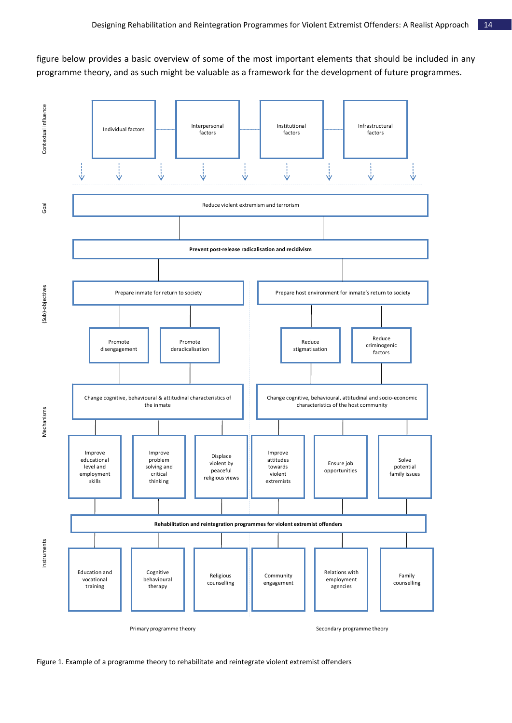figure below provides a basic overview of some of the most important elements that should be included in any programme theory, and as such might be valuable as a framework for the development of future programmes.



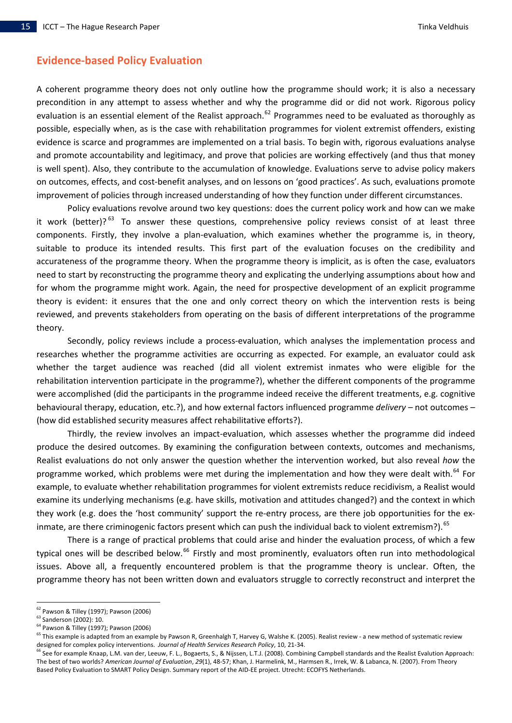# **Evidence‐based Policy Evaluation**

A coherent programme theory does not only outline how the programme should work; it is also a necessary precondition in any attempt to assess whether and why the programme did or did not work. Rigorous policy evaluation is an essential element of the Realist approach.<sup>[62](#page-16-0)</sup> Programmes need to be evaluated as thoroughly as possible, especially when, as is the case with rehabilitation programmes for violent extremist offenders, existing evidence is scarce and programmes are implemented on a trial basis. To begin with, rigorous evaluations analyse and promote accountability and legitimacy, and prove that policies are working effectively (and thus that money is well spent). Also, they contribute to the accumulation of knowledge. Evaluations serve to advise policy makers on outcomes, effects, and cost‐benefit analyses, and on lessons on 'good practices'. As such, evaluations promote improvement of policies through increased understanding of how they function under different circumstances.

Policy evaluations revolve around two key questions: does the current policy work and how can we make it work (better)? $^{63}$  $^{63}$  $^{63}$  To answer these questions, comprehensive policy reviews consist of at least three components. Firstly, they involve a plan‐evaluation, which examines whether the programme is, in theory, suitable to produce its intended results. This first part of the evaluation focuses on the credibility and accurateness of the programme theory. When the programme theory is implicit, as is often the case, evaluators need to start by reconstructing the programme theory and explicating the underlying assumptions about how and for whom the programme might work. Again, the need for prospective development of an explicit programme theory is evident: it ensures that the one and only correct theory on which the intervention rests is being reviewed, and prevents stakeholders from operating on the basis of different interpretations of the programme theory.

behavioural therapy, education, etc.?), and how external factors influenced programme *delivery* – not outcomes – (how di d established security measures affect rehabilitative efforts?). Secondly, policy reviews include a process-evaluation, which analyses the implementation process and researches whether the programme activities are occurring as expected. For example, an evaluator could ask whether the target audience was reached (did all violent extremist inmates who were eligible for the rehabilitation intervention participate in the programme?), whether the different components of the programme were accomplished (did the participants in the programme indeed receive the different treatments, e.g. cognitive

they work (e.g. does the 'host community' support the re-entry process, are there job opportunities for the ex-inmate, are there criminogenic factors present which can push the individual back to violent extremism?). <sup>[65](#page-16-3)</sup> Thirdly, the review involves an impact-evaluation, which assesses whether the programme did indeed produce the desired outcomes. By examining the configuration between contexts, outcomes and mechanisms, Realist evaluations do not only answer the question whether the intervention worked, but also reveal *how* the programme worked, which problems were met during the implementation and how they were dealt with.<sup>[64](#page-16-2)</sup> For example, to evaluate whether rehabilitation programmes for violent extremists reduce recidivism, a Realist would examine its underlying mechanisms (e.g. have skills, motivation and attitudes changed?) and the context in which

There is a range of practical problems that could arise and hinder the [evaluation](#page-16-3) process, of which a few typical ones will be [described](#page-16-3) below.<sup>66</sup> Firstly and most prominently, evaluators often run into [methodological](#page-17-0) issues. Above all, a frequently [encountered](#page-17-0) problem is that the programme theory is unclear. Often, the [programme](#page-17-0) theory has not been written down and evaluators struggle to correctly reconstruct and interpret the

<span id="page-16-0"></span> $62$  Pawson & Tilley (1997); Pawson (2006)<br> $63$  Sanderson (2002): 10.

<span id="page-16-2"></span><span id="page-16-1"></span><sup>64</sup> Pawson & Tilley (1997); Pawson (2006)

<sup>&</sup>lt;sup>65</sup> This example is adapted from an example by Pawson R, Greenhalgh T, Harvey G, Walshe K. (2005). Realist review - a new method of systematic review designed for complex policy interventions. Journal of Health Services Research Policy, 10, 21-34.<br><sup>66</sup> See for example Knaap, L.M. van der, Leeuw, F. L., Bogaerts, S., & Nijssen, L.T.J. (2008). Combining Campbell standards

<span id="page-16-3"></span>The best of two worlds? *American Journal of Evaluation*, *29*(1), 48‐57; Khan, J. Harmelink, M., Harmsen R., Irrek, W. & Labanca, N. (2007). From Theory Based Policy Evaluation to SMART Policy Design. Summary report of the AID‐EE project. Utrecht: ECOFYS Netherlands.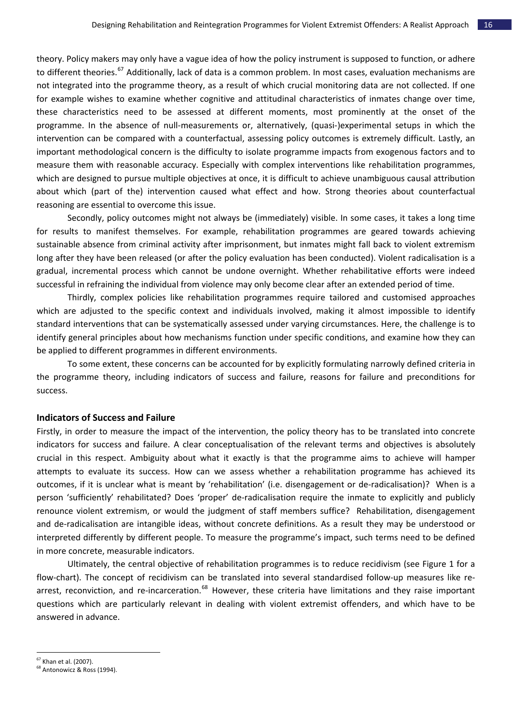theory. Policy makers may only have a vague idea of how the policy [instrument](#page-17-0) is supposed to function, or adhere to different theories.<sup>67</sup> [Additionally,](#page-17-0) lack of data is a common problem. In most cases, evaluation mechanisms are not integrated into the [programme](#page-17-0) theory, as a result of which crucial monitoring data are not collected. If one for example wishes to examine whether cognitive and attitudinal [characteristics](#page-17-0) of inmates change over time, these [characteristics](#page-17-0) need to be assessed at different moments, most prominently at the onset of the programme. In the absence of null‐[measurements](#page-17-0) or, alternatively, (quasi‐)experimental setups in which the intervention can be compared with a [counterfactual,](#page-17-0) assessing policy outcomes is extremely difficult. Lastly, an important [methodological](#page-17-0) concern is the difficulty to isolate programme impacts from exogenous factors and to measure them with reasonable accuracy. Especially with complex interventions like [rehabilitation](#page-17-0) programmes, which are designed to pursue multiple objectives at once, it is difficult to achieve [unambiguous](#page-17-0) causal attribution about which (part of the) [intervention](#page-17-0) caused what effect and how. Strong theories about counterfactual reasoni ng are essential to overcome this issue.

gradual, incremental process which cannot be undone overnight. Whether rehabilitative efforts were indeed success ful in refraining the individual from violence may only become clear after an extended period of time. Secondly, policy outcomes might not always be (immediately) visible. In some cases, it takes a long time for results to manifest themselves. For example, rehabilitation programmes are geared towards achieving sustainable absence from criminal activity after imprisonment, but inmates might fall back to violent extremism long after they have been released (or after the policy evaluation has been conducted). Violent radicalisation is a

identify general principles about how mechanisms function under specific conditions, and examine how they can be appl ied to different programmes in different environments. Thirdly, complex policies like rehabilitation programmes require tailored and customised approaches which are adjusted to the specific context and individuals involved, making it almost impossible to identify standard interventions that can be systematically assessed under varying circumstances. Here, the challenge is to

the programme theory, including indicators of success and failure, reasons for failure and preconditions for success. To some extent, these concerns can be accounted for by explicitly formulating narrowly defined criteria in

### **Indicators of Success and Failure**

interpreted differently by different people. To measure the programme's impact, such terms need to be defined in more concrete, measurable indicators. Firstly, in order to measure the impact of the intervention, the policy theory has to be translated into concrete indicators for success and failure. A clear conceptualisation of the relevant terms and objectives is absolutely crucial in this respect. Ambiguity about what it exactly is that the programme aims to achieve will hamper attempts to evaluate its success. How can we assess whether a rehabilitation programme has achieved its outcomes, if it is unclear what is meant by 'rehabilitation' (i.e. disengagement or de‐radicalisation)? When is a person 'sufficiently' rehabilitated? Does 'proper' de-radicalisation require the inmate to explicitly and publicly renounce violent extremism, or would the judgment of staff members suffice? Rehabilitation, disengagement and de-radicalisation are intangible ideas, without concrete definitions. As a result they may be understood or

questions which are particularly relevant in dealing with violent extremist offenders, and which have to be answer ed in advance. Ultimately, the central objective of rehabilitation programmes is to reduce recidivism (see Figure 1 for a flow-chart). The concept of recidivism can be translated into several standardised follow-up measures like re-arrest, reconviction, and re-incarceration.<sup>[68](#page-17-1)</sup> However, these criteria have limitations and they raise important

<span id="page-17-0"></span><sup>67</sup> Khan et al. (2007).

<span id="page-17-1"></span><sup>&</sup>lt;sup>68</sup> Antonowicz & Ross (1994).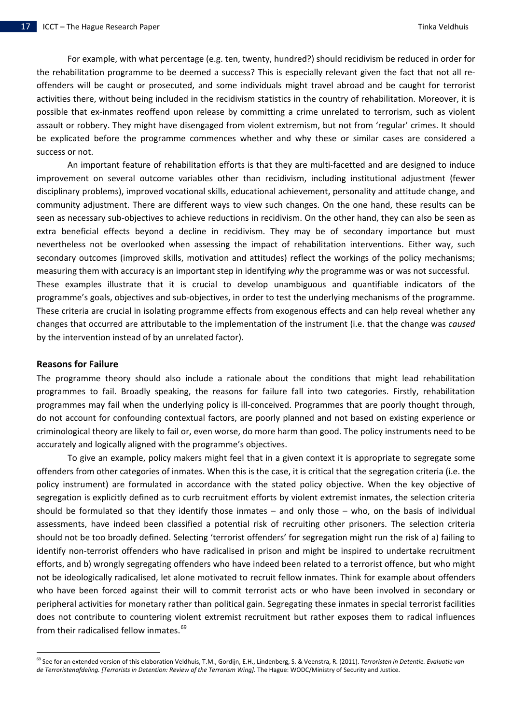For example, with what percentage (e.g. ten, twenty, hundred?) should recidivism be reduced in order for the rehabilitation programme to be deemed a success? This is especially relevant given the fact that not all re‐ offenders will be caught or prosecuted, and some individuals might travel abroad and be caught for terrorist activities there, without being included in the recidivism statistics in the country of rehabilitation. Moreover, it is possible that ex-inmates reoffend upon release by committing a crime unrelated to terrorism, such as violent assault or robbery. They might have disengaged from violent extremism, but not from 'regular' crimes. It should be expl icated before the programme commences whether and why these or similar cases are considered a success or not.

An important feature of rehabilitation efforts is that they are multi‐facetted and are designed to induce improvement on several outcome variables other than recidivism, including institutional adjustment (fewer disciplinary problems), improved vocational skills, educational achievement, personality and attitude change, and community adjustment. There are different ways to view such changes. On the one hand, these results can be seen as necessary sub‐objectives to achieve reductions in recidivism. On the other hand, they can also be seen as extra beneficial effects beyond a decline in recidivism. They may be of secondary importance but must nevertheless not be overlooked when assessing the impact of rehabilitation interventions. Either way, such secondary outcomes (improved skills, motivation and attitudes) reflect the workings of the policy mechanisms; measuring them with accuracy is an important step in identifying *why* the programme was or was not successful. These examples illustrate that it is crucial to develop unambiguous and quantifiable indicators of the

These criteria are crucial in isolating programme effects from exogenous effects and can help reveal whether any hanges that occurred are attributable to the implementation of the instrument (i.e. that the change was *caused* c by the intervention instead of by an unrelated factor). programme's goals, objectives and sub‐objectives, in order to test the underlying mechanisms of the programme.

### **Reasons for Failure**

l

do not account for confounding contextual factors, are poorly planned and not based on existing experience or crimino logical theory are likely to fail or, even worse, do more harm than good. The policy instruments need to be The programme theory should also include a rationale about the conditions that might lead rehabilitation programmes to fail. Broadly speaking, the reasons for failure fall into two categories. Firstly, rehabilitation programmes may fail when the underlying policy is ill‐conceived. Programmes that are poorly thought through, accurately and logically aligned with the programme's objectives.

peripheral activities for monetary rather than political gain. Segregating these inmates in special terrorist facilities does no t contribute to countering violent extremist recruitment but rather exposes them to radical influences To give an example, policy makers might feel that in a given context it is appropriate to segregate some offenders from other categories of inmates. When this is the case, it is critical that the segregation criteria (i.e. the policy instrument) are formulated in accordance with the stated policy objective. When the key objective of segregation is explicitly defined as to curb recruitment efforts by violent extremist inmates, the selection criteria should be formulated so that they identify those inmates – and only those – who, on the basis of individual assessments, have indeed been classified a potential risk of recruiting other prisoners. The selection criteria should not be too broadly defined. Selecting 'terrorist offenders' for segregation might run the risk of a) failing to identify non-terrorist offenders who have radicalised in prison and might be inspired to undertake recruitment efforts, and b) wrongly segregating offenders who have indeed been related to a terrorist offence, but who might not be ideologically radicalised, let alone motivated to recruit fellow inmates. Think for example about offenders who have been forced against their will to commit terrorist acts or who have been involved in secondary or from their radicalised fellow inmates.<sup>69</sup>

<sup>69</sup> See for an extended version of this elaboration Veldhuis, T.M., Gordijn, E.H., Lindenberg, S. & Veenstra, R. (2011). *Terroristen in Detentie. Evaluatie van de Terroristenafdeling. [Terrorists in Detention: Review of the Terrorism Wing].* The Hague: WODC/Ministry of Security and Justice.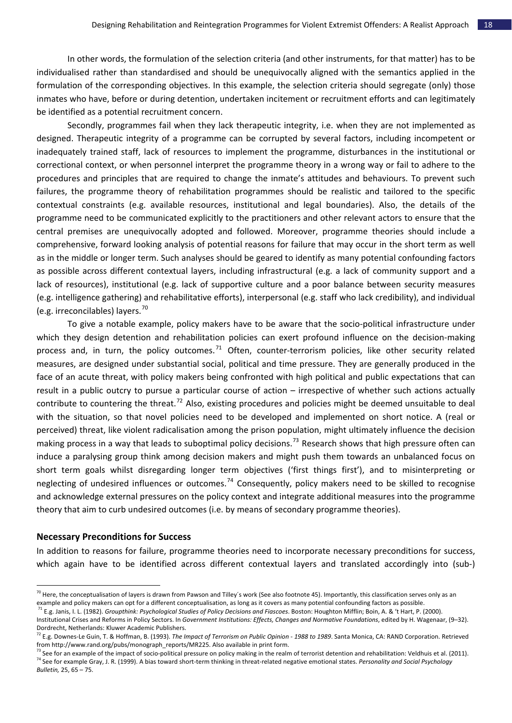In other words, the formulation of the selection criteria (and other instruments, for that matter) has to be individualised rather than standardised and should be unequivocally aligned with the semantics applied in the formulation of the corresponding objectives. In this example, the selection criteria should segregate (only) those inmates who have, before or during detention, undertaken incitement or recruitment efforts and can legitimately be identified as a potential recruitment concern.

lack of resources), institutional (e.g. lack of supportive culture and a poor balance between security measures (e.g. int elligence gathering) and rehabilitative efforts), interpersonal (e.g. staff who lack credibility), and individual Secondly, programmes fail when they lack therapeutic integrity, i.e. when they are not implemented as designed. Therapeutic integrity of a programme can be corrupted by several factors, including incompetent or inadequately trained staff, lack of resources to implement the programme, disturbances in the institutional or correctional context, or when personnel interpret the programme theory in a wrong way or fail to adhere to the procedures and principles that are required to change the inmate's attitudes and behaviours. To prevent such failures, the programme theory of rehabilitation programmes should be realistic and tailored to the specific contextual constraints (e.g. available resources, institutional and legal boundaries). Also, the details of the programme need to be communicated explicitly to the practitioners and other relevant actors to ensure that the central premises are unequivocally adopted and followed. Moreover, programme theories should include a comprehensive, forward looking analysis of potential reasons for failure that may occur in the short term as well as in the middle or longer term. Such analyses should be geared to identify as many potential confounding factors as possible across different contextual layers, including infrastructural (e.g. a lack of community support and a (e.g. irreconcilables) layers. $^{70}$  $^{70}$  $^{70}$ 

neglecting of undesired influences or outcomes.<sup>74</sup> [Consequently,](#page-19-3) policy makers need to be skilled to recognise and acknowledge external pressures on the policy context and integrate additional measures into the programme theory that aim to curb undesired outcomes (i.e. by means of secondary programme theories). To give a notable example, policy makers have to be aware that the socio‐political [infrastructure](#page-19-0) under which they design detention and [rehabilitation](#page-19-0) policies can exert profound influence on the decision-making process and, in turn, the policy [outcomes.](#page-19-0)<sup>71</sup> Often, counter-[terrorism](#page-19-1) policies, like other security related measures, are designed under [substantial](#page-19-1) social, political and time pressure. They are generally produced in the face of an acute threat, with policy makers being confronted with high political and public [expectations](#page-19-1) that can result in a public outcry to pursue a particular course of action – [irrespective](#page-19-1) of whether such actions actually contribute to [countering](#page-19-1) the threat.<sup>72</sup> Also, existing [procedures](#page-19-2) and policies might be deemed unsuitable to deal with the situation, so that novel policies need to be developed and [implemented](#page-19-2) on short notice. A (real or perceived) threat, like violent [radicalisation](#page-19-2) among the prison population, might ultimately influence the decision making process in a way that leads to [suboptimal](#page-19-2) policy decisions.<sup>73</sup> [Research](#page-19-3) shows that high pressure often can induce a paralysing group think among decision makers and might push them towards an [unbalanced](#page-19-3) focus on short term goals whilst disregarding longer term objectives ('first things first'), and to [misinterpreting](#page-19-3) or

#### **Necessary Preconditions for Success**

l

In addition to reasons for failure, programme theories need to incorporate necessary preconditions for success, which again have to be identified across different contextual layers and translated accordingly into (sub-)

 $^{70}$  Here, the conceptualisation of layers is drawn from Pawson and Tilley's work (See also footnote 45). Importantly, this classification serves only as an example and policy makers can opt for a different conceptualisation, as long as it covers as many potential confounding factors as possible.

<span id="page-19-0"></span><sup>71</sup> E.g. Janis, I. L. (1982). *Groupthink: Psychological Studies of Policy Decisions and Fiascoes*. Boston: Houghton Mifflin; Boin, A. & 't Hart, P. (2000). Institutional Crises and Reforms in Policy Sectors. In *Government Institutions: Effects, Changes and Normative Foundations*, edited by H. Wagenaar, (9–32). Dordrecht, Netherlands: Kluwer Academic Publishers.

<span id="page-19-1"></span><sup>&</sup>lt;sup>72</sup> E.g. Downes-Le Guin, T. & Hoffman, B. (1993). The Impact of Terrorism on Public Opinion - 1988 to 1989. Santa Monica, CA: RAND Corporation. Retrieved from http://www.rand.org/pubs/monograph\_reports/MR225. Also available in print form.<br><sup>73</sup> See for an example of the impact of socio-political pressure on policy making in the realm of terrorist detention and rehabilitation

<span id="page-19-3"></span><span id="page-19-2"></span><sup>74</sup> See for example Gray, J. R. (1999). A bias toward short‐term thinking in threat‐related negative emotional states. *Personality and Social Psychology Bulletin,* 25, 65 – 75.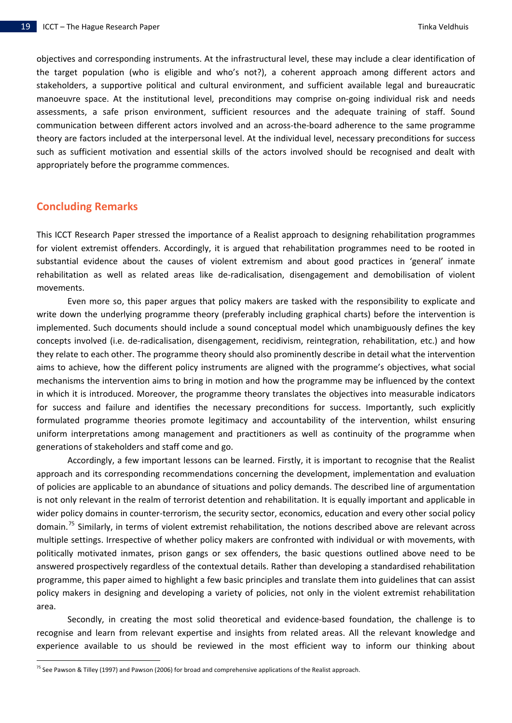objectives and corresponding instruments. At the infrastructural level, these may include a clear identification of the target population (who is eligible and who's not?), a coherent approach among different actors and stakeholders, a supportive political and cultural environment, and sufficient available legal and bureaucratic manoeuvre space. At the institutional level, preconditions may comprise on-going individual risk and needs assessments, a safe prison environment, sufficient resources and the adequate training of staff. Sound communication between different actors involved and an across‐the‐board adherence to the same programme theory are factors included at the interpersonal level. At the individual level, necessary preconditions for success such as sufficient motivation and essential skills of the actors involved should be recognised and dealt with appropriately before the programme commences.

### **Concluding Remarks**

substantial evidence about the causes of violent extremism and about good practices in 'general' inmate rehabili tation as well as related areas like de‐radicalisation, disengagement and demobilisation of violent This ICCT Research Paper stressed the importance of a Realist approach to designing rehabilitation programmes for violent extremist offenders. Accordingly, it is argued that rehabilitation programmes need to be rooted in movements.

formulated programme theories promote legitimacy and accountability of the intervention, whilst ensuring uniform interpretations among management and practitioners as well as continuity of the programme when Even more so, this paper argues that policy makers are tasked with the responsibility to explicate and write down the underlying programme theory (preferably including graphical charts) before the intervention is implemented. Such documents should include a sound conceptual model which unambiguously defines the key concepts involved (i.e. de‐radicalisation, disengagement, recidivism, reintegration, rehabilitation, etc.) and how they relate to each other. The programme theory should also prominently describe in detail what the intervention aims to achieve, how the different policy instruments are aligned with the programme's objectives, what social mechanisms the intervention aims to bring in motion and how the programme may be influenced by the context in which it is introduced. Moreover, the programme theory translates the objectives into measurable indicators for success and failure and identifies the necessary preconditions for success. Importantly, such explicitly generations of stakeholders and staff come and go.

programme, this paper aimed to highlight a few basic principles and translate them into guidelines that can assist policy m akers in designing and developing a variety of policies, not only in the violent extremist rehabilitation Accordingly, a few important lessons can be learned. Firstly, it is important to recognise that the Realist approach and its corresponding recommendations concerning the development, implementation and evaluation of policies are applicable to an abundance of situations and policy demands. The described line of argumentation is not only relevant in the realm of terrorist detention and rehabilitation. It is equally important and applicable in wider policy domains in counter-terrorism, the security sector, economics, education and every other social policy domain.<sup>[75](#page-20-0)</sup> Similarly, in terms of violent extremist rehabilitation, the notions described above are relevant across multiple settings. Irrespective of whether policy makers are confronted with individual or with movements, with politically motivated inmates, prison gangs or sex offenders, the basic questions outlined above need to be answered prospectively regardless of the contextual details. Rather than developing a standardised rehabilitation area.

Secondly, in creating the most solid theoretical and evidence-based foundation, the challenge is to recognise and learn from relevant expertise and insights from related areas. All the relevant knowledge and experience available to us should be reviewed in the most efficient way to inform our thinking about

<span id="page-20-0"></span><sup>&</sup>lt;sup>75</sup> See Pawson & Tilley (1997) and Pawson (2006) for broad and comprehensive applications of the Realist approach.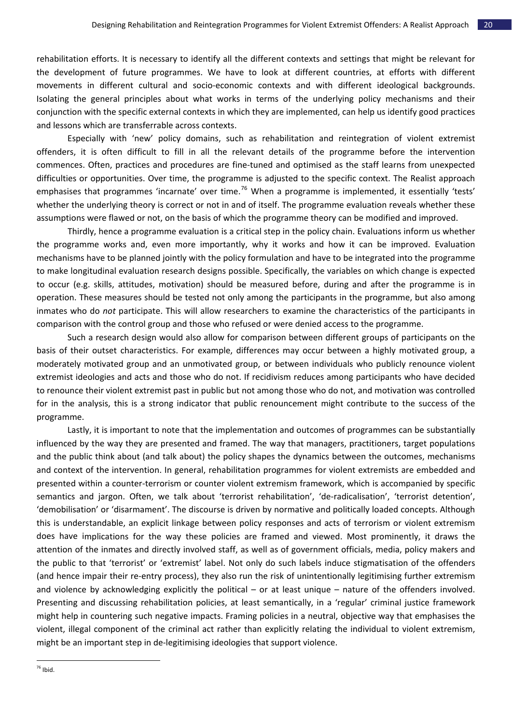rehabilitation efforts. It is necessary to identify all the different contexts and settings that might be relevant for the development of future programmes. We have to look at different countries, at efforts with different movements in different cultural and socio‐economic contexts and with different ideological backgrounds. Isolating the general principles about what works in terms of the underlying policy mechanisms and their conjunc tion with the specific external contexts in which they are implemented, can help us identify good practices and lessons which are transferrable across contexts.

emphasises that programmes 'incarnate' over time.<sup>[76](#page-21-0)</sup> When a programme is implemented, it essentially 'tests' whethe r the underlying theory is correct or not in and of itself. The programme evaluation reveals whether these Especially with 'new' policy domains, such as rehabilitation and reintegration of violent extremist offenders, it is often difficult to fill in all the relevant details of the programme before the intervention commences. Often, practices and procedures are fine‐tuned and optimised as the staff learns from unexpected difficulties or opportunities. Over time, the programme is adjusted to the specific context. The Realist approach assumptions were flawed or not, on the basis of which the programme theory can be modified and improved.

operation. These measures should be tested not only among the participants in the programme, but also among inmates who do *not* participate. This will allow researchers to examine the characteristics of the participants in Thirdly, hence a programme evaluation is a critical step in the policy chain. Evaluations inform us whether the programme works and, even more importantly, why it works and how it can be improved. Evaluation mechanisms have to be planned jointly with the policy formulation and have to be integrated into the programme to make longitudinal evaluation research designs possible. Specifically, the variables on which change is expected to occur (e.g. skills, attitudes, motivation) should be measured before, during and after the programme is in comparison with the control group and those who refused or were denied access to the programme.

to renounce their violent extremist past in public but not among those who do not, and motivation was controlled for in t he analysis, this is a strong indicator that public renouncement might contribute to the success of the Such a research design would also allow for comparison between different groups of participants on the basis of their outset characteristics. For example, differences may occur between a highly motivated group, a moderately motivated group and an unmotivated group, or between individuals who publicly renounce violent extremist ideologies and acts and those who do not. If recidivism reduces among participants who have decided programme.

might help in countering such negative impacts. Framing policies in a neutral, objective way that emphasises the violent, illegal component of the criminal act rather than explicitly relating the individual to violent extremism, Lastly, it is important to note that the implementation and outcomes of programmes can be substantially influenced by the way they are presented and framed. The way that managers, practitioners, target populations and the public think about (and talk about) the policy shapes the dynamics between the outcomes, mechanisms and context of the intervention. In general, rehabilitation programmes for violent extremists are embedded and presented within a counter‐terrorism or counter violent extremism framework, which is accompanied by specific semantics and jargon. Often, we talk about 'terrorist rehabilitation', 'de-radicalisation', 'terrorist detention', 'demobilisation' or 'disarmament'. The discourse is driven by normative and politically loaded concepts. Although this is understandable, an explicit linkage between policy responses and acts of terrorism or violent extremism does have implications for the way these policies are framed and viewed. Most prominently, it draws the attention of the inmates and directly involved staff, as well as of government officials, media, policy makers and the public to that 'terrorist' or 'extremist' label. Not only do such labels induce stigmatisation of the offenders (and hence impair their re‐entry process), they also run the risk of unintentionally legitimising further extremism and violence by acknowledging explicitly the political – or at least unique – nature of the offenders involved. Presenting and discussing rehabilitation policies, at least semantically, in a 'regular' criminal justice framework might be an important step in de‐legitimising ideologies that support violence.

<span id="page-21-0"></span>